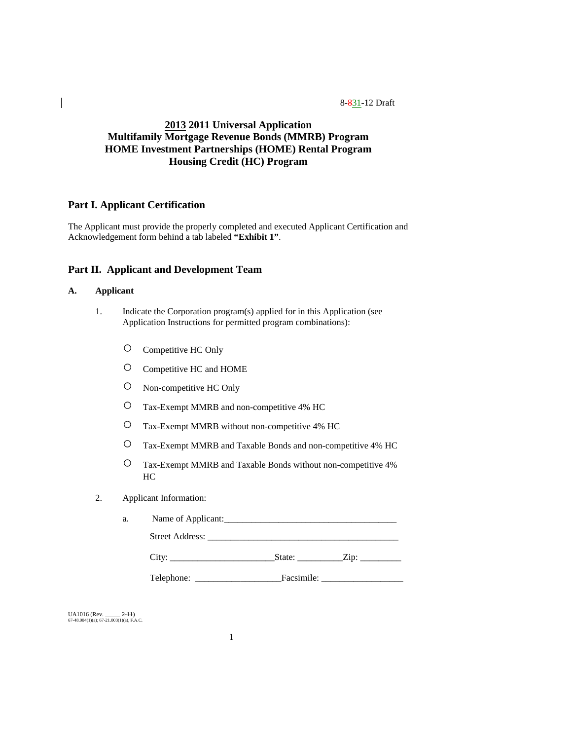# **2013 2011 Universal Application Multifamily Mortgage Revenue Bonds (MMRB) Program HOME Investment Partnerships (HOME) Rental Program Housing Credit (HC) Program**

## **Part I. Applicant Certification**

The Applicant must provide the properly completed and executed Applicant Certification and Acknowledgement form behind a tab labeled **"Exhibit 1"**.

# **Part II. Applicant and Development Team**

# **A. Applicant**

- 1. Indicate the Corporation program(s) applied for in this Application (see Application Instructions for permitted program combinations):
	- Competitive HC Only
	- Competitive HC and HOME
	- Non-competitive HC Only
	- Tax-Exempt MMRB and non-competitive 4% HC
	- Tax-Exempt MMRB without non-competitive 4% HC
	- Tax-Exempt MMRB and Taxable Bonds and non-competitive 4% HC
	- Tax-Exempt MMRB and Taxable Bonds without non-competitive 4% HC
- 2. Applicant Information:

| a. | Name of Applicant:     |        |      |  |  |  |  |  |  |
|----|------------------------|--------|------|--|--|--|--|--|--|
|    | <b>Street Address:</b> |        |      |  |  |  |  |  |  |
|    | Lity.                  | State: | Zip: |  |  |  |  |  |  |

Telephone: \_\_\_\_\_\_\_\_\_\_\_\_\_\_\_\_\_\_\_Facsimile: \_\_\_\_\_\_\_\_\_\_\_\_\_\_\_\_\_\_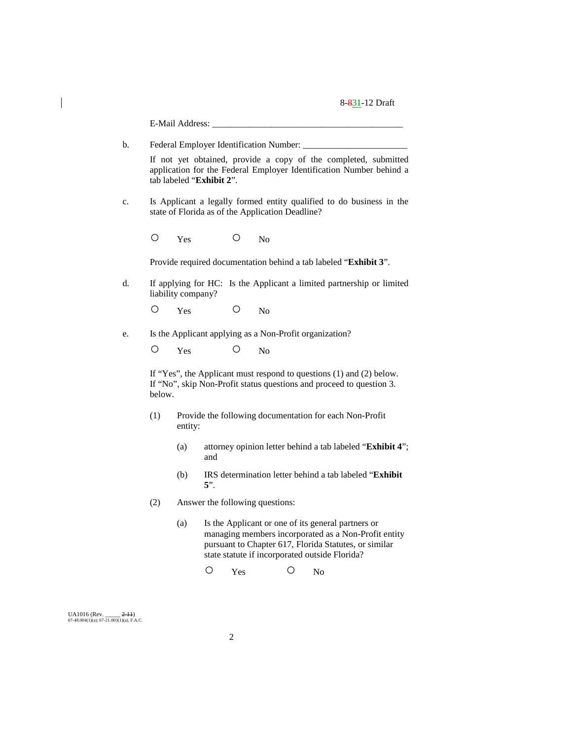|                                                          |                                                                                                                                                                    |                                                  | E-Mail Address:    |        |         |                                                  |   |                                                         |                                                                                                                                                                     |
|----------------------------------------------------------|--------------------------------------------------------------------------------------------------------------------------------------------------------------------|--------------------------------------------------|--------------------|--------|---------|--------------------------------------------------|---|---------------------------------------------------------|---------------------------------------------------------------------------------------------------------------------------------------------------------------------|
|                                                          | b.                                                                                                                                                                 | Federal Employer Identification Number: ________ |                    |        |         |                                                  |   |                                                         |                                                                                                                                                                     |
|                                                          | If not yet obtained, provide a copy of the completed, submitted<br>application for the Federal Employer Identification Number behind a<br>tab labeled "Exhibit 2". |                                                  |                    |        |         |                                                  |   |                                                         |                                                                                                                                                                     |
|                                                          | c.                                                                                                                                                                 |                                                  |                    |        |         | state of Florida as of the Application Deadline? |   |                                                         | Is Applicant a legally formed entity qualified to do business in the                                                                                                |
|                                                          |                                                                                                                                                                    | O                                                | Yes                |        | O       | N <sub>o</sub>                                   |   |                                                         |                                                                                                                                                                     |
|                                                          |                                                                                                                                                                    |                                                  |                    |        |         |                                                  |   |                                                         | Provide required documentation behind a tab labeled "Exhibit 3".                                                                                                    |
|                                                          | d.                                                                                                                                                                 |                                                  | liability company? |        |         |                                                  |   |                                                         | If applying for HC: Is the Applicant a limited partnership or limited                                                                                               |
|                                                          |                                                                                                                                                                    | Ő                                                | Yes                |        | $\circ$ | N <sub>0</sub>                                   |   |                                                         |                                                                                                                                                                     |
|                                                          | e.                                                                                                                                                                 |                                                  |                    |        |         |                                                  |   | Is the Applicant applying as a Non-Profit organization? |                                                                                                                                                                     |
|                                                          |                                                                                                                                                                    | O                                                | Yes                |        | O       | N <sub>o</sub>                                   |   |                                                         |                                                                                                                                                                     |
|                                                          |                                                                                                                                                                    | below.                                           |                    |        |         |                                                  |   |                                                         | If "Yes", the Applicant must respond to questions $(1)$ and $(2)$ below.<br>If "No", skip Non-Profit status questions and proceed to question 3.                    |
|                                                          |                                                                                                                                                                    | (1)                                              | entity:            |        |         |                                                  |   |                                                         | Provide the following documentation for each Non-Profit                                                                                                             |
|                                                          |                                                                                                                                                                    |                                                  | (a)                | and    |         |                                                  |   |                                                         | attorney opinion letter behind a tab labeled "Exhibit 4";                                                                                                           |
|                                                          |                                                                                                                                                                    |                                                  | (b)                | $5$ ". |         |                                                  |   |                                                         | IRS determination letter behind a tab labeled "Exhibit                                                                                                              |
|                                                          |                                                                                                                                                                    | (2)                                              |                    |        |         | Answer the following questions:                  |   |                                                         |                                                                                                                                                                     |
|                                                          |                                                                                                                                                                    |                                                  | (a)                |        |         |                                                  |   | state statute if incorporated outside Florida?          | Is the Applicant or one of its general partners or<br>managing members incorporated as a Non-Profit entity<br>pursuant to Chapter 617, Florida Statutes, or similar |
|                                                          |                                                                                                                                                                    |                                                  |                    | O      | Yes     |                                                  | O | N <sub>o</sub>                                          |                                                                                                                                                                     |
|                                                          |                                                                                                                                                                    |                                                  |                    |        |         |                                                  |   |                                                         |                                                                                                                                                                     |
| UA1016 (Rev.<br>67-48.004(1)(a); 67-21.003(1)(a), F.A.C. | $2-11$                                                                                                                                                             |                                                  |                    |        |         |                                                  |   |                                                         |                                                                                                                                                                     |

 $\begin{array}{c} \hline \end{array}$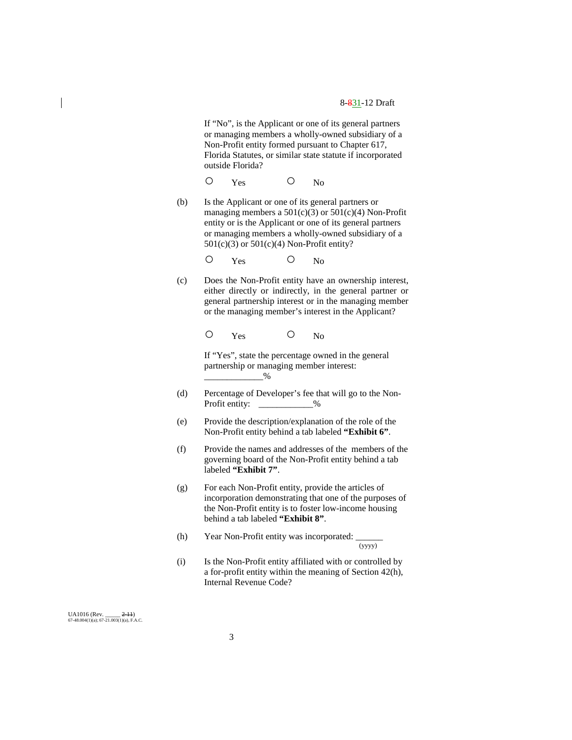If "No", is the Applicant or one of its general partners or managing members a wholly-owned subsidiary of a Non-Profit entity formed pursuant to Chapter 617, Florida Statutes, or similar state statute if incorporated outside Florida?

O Yes O No

(b) Is the Applicant or one of its general partners or managing members a  $501(c)(3)$  or  $501(c)(4)$  Non-Profit entity or is the Applicant or one of its general partners or managing members a wholly-owned subsidiary of a 501(c)(3) or 501(c)(4) Non-Profit entity?

O Yes O No

(c) Does the Non-Profit entity have an ownership interest, either directly or indirectly, in the general partner or general partnership interest or in the managing member or the managing member's interest in the Applicant?

O Yes O No

If "Yes", state the percentage owned in the general partnership or managing member interest:  $-$ %

- (d) Percentage of Developer's fee that will go to the Non-Profit entity:  $\frac{9}{6}$
- (e) Provide the description/explanation of the role of the Non-Profit entity behind a tab labeled **"Exhibit 6"**.
- (f) Provide the names and addresses of the members of the governing board of the Non-Profit entity behind a tab labeled **"Exhibit 7"**.
- (g) For each Non-Profit entity, provide the articles of incorporation demonstrating that one of the purposes of the Non-Profit entity is to foster low-income housing behind a tab labeled **"Exhibit 8"**.
- (h) Year Non-Profit entity was incorporated:  $\frac{1}{(yyyy)}$

(i) Is the Non-Profit entity affiliated with or controlled by a for-profit entity within the meaning of Section 42(h), Internal Revenue Code?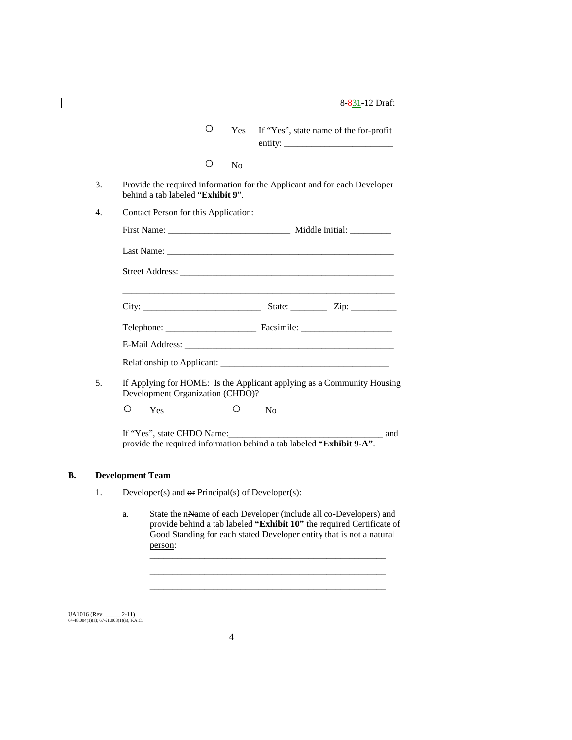| $\circ$ | Yes If "Yes", state name of the for-profit |
|---------|--------------------------------------------|
|         | entity:                                    |

| Nο |
|----|
|    |
|    |

- 3. Provide the required information for the Applicant and for each Developer behind a tab labeled "**Exhibit 9**".
- 4. Contact Person for this Application:

|    |                                  |    | First Name: Middle Initial:                                            |
|----|----------------------------------|----|------------------------------------------------------------------------|
|    |                                  |    |                                                                        |
|    |                                  |    |                                                                        |
|    | City:                            |    |                                                                        |
|    |                                  |    |                                                                        |
|    |                                  |    |                                                                        |
|    |                                  |    |                                                                        |
| 5. | Development Organization (CHDO)? |    | If Applying for HOME: Is the Applicant applying as a Community Housing |
|    | Yes                              | No |                                                                        |

If "Yes", state CHDO Name:\_\_\_\_\_\_\_\_\_\_\_\_\_\_\_\_\_\_\_\_\_\_\_\_\_\_\_\_\_\_\_\_\_\_ and

provide the required information behind a tab labeled **"Exhibit 9-A"**.

#### **B. Development Team**

 $\overline{\phantom{a}}$ 

- 1. Developer(s) and  $\Theta$ **F** Principal(s) of Developer(s):
	- a. State the nName of each Developer (include all co-Developers) and provide behind a tab labeled **"Exhibit 10"** the required Certificate of Good Standing for each stated Developer entity that is not a natural person: \_\_\_\_\_\_\_\_\_\_\_\_\_\_\_\_\_\_\_\_\_\_\_\_\_\_\_\_\_\_\_\_\_\_\_\_\_\_\_\_\_\_\_\_\_\_\_\_\_\_\_\_

\_\_\_\_\_\_\_\_\_\_\_\_\_\_\_\_\_\_\_\_\_\_\_\_\_\_\_\_\_\_\_\_\_\_\_\_\_\_\_\_\_\_\_\_\_\_\_\_\_\_\_\_ \_\_\_\_\_\_\_\_\_\_\_\_\_\_\_\_\_\_\_\_\_\_\_\_\_\_\_\_\_\_\_\_\_\_\_\_\_\_\_\_\_\_\_\_\_\_\_\_\_\_\_\_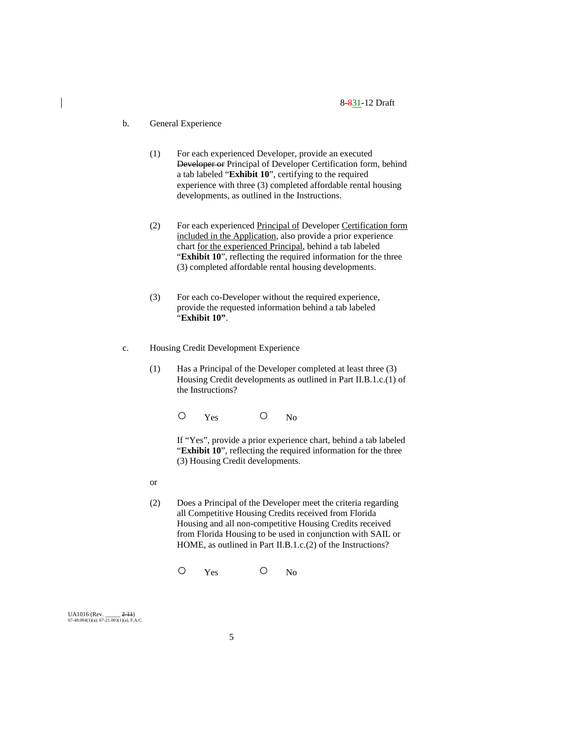# b. General Experience

- (1) For each experienced Developer, provide an executed Developer or Principal of Developer Certification form, behind a tab labeled "**Exhibit 10**", certifying to the required experience with three (3) completed affordable rental housing developments, as outlined in the Instructions.
- (2) For each experienced Principal of Developer Certification form included in the Application, also provide a prior experience chart for the experienced Principal, behind a tab labeled "**Exhibit 10**", reflecting the required information for the three (3) completed affordable rental housing developments.
- (3) For each co-Developer without the required experience, provide the requested information behind a tab labeled "**Exhibit 10"**.
- c. Housing Credit Development Experience
	- (1) Has a Principal of the Developer completed at least three (3) Housing Credit developments as outlined in Part II.B.1.c.(1) of the Instructions?

O Yes O No

If "Yes", provide a prior experience chart, behind a tab labeled "**Exhibit 10**", reflecting the required information for the three (3) Housing Credit developments.

- or
- (2) Does a Principal of the Developer meet the criteria regarding all Competitive Housing Credits received from Florida Housing and all non-competitive Housing Credits received from Florida Housing to be used in conjunction with SAIL or HOME, as outlined in Part II.B.1.c.(2) of the Instructions?

O Yes O No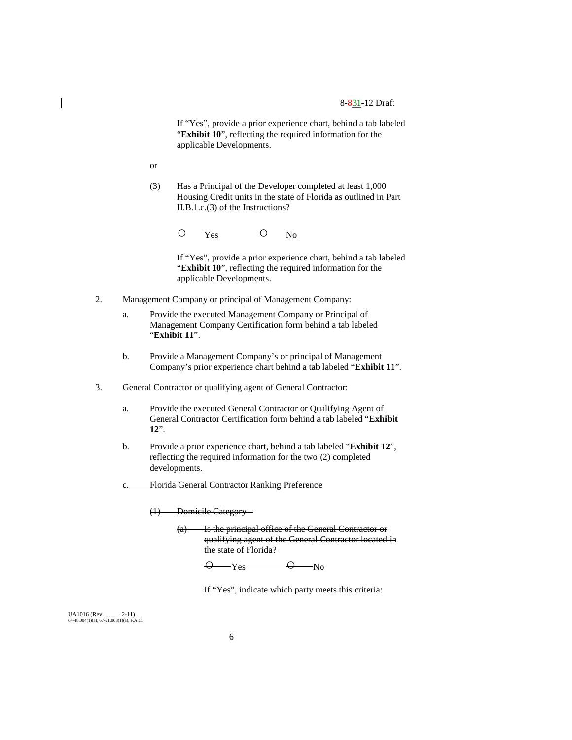If "Yes", provide a prior experience chart, behind a tab labeled "**Exhibit 10**", reflecting the required information for the applicable Developments.

or

(3) Has a Principal of the Developer completed at least 1,000 Housing Credit units in the state of Florida as outlined in Part II.B.1.c.(3) of the Instructions?

O Yes O No

If "Yes", provide a prior experience chart, behind a tab labeled "**Exhibit 10**", reflecting the required information for the applicable Developments.

- 2. Management Company or principal of Management Company:
	- a. Provide the executed Management Company or Principal of Management Company Certification form behind a tab labeled "**Exhibit 11**".
	- b. Provide a Management Company's or principal of Management Company's prior experience chart behind a tab labeled "**Exhibit 11**".
- 3. General Contractor or qualifying agent of General Contractor:
	- a. Provide the executed General Contractor or Qualifying Agent of General Contractor Certification form behind a tab labeled "**Exhibit 12**".
	- b. Provide a prior experience chart, behind a tab labeled "**Exhibit 12**", reflecting the required information for the two (2) completed developments.
	- c. Florida General Contractor Ranking Preference

(1) Domicile Category –

(a) Is the principal office of the General Contractor or qualifying agent of the General Contractor located in the state of Florida?

 $\overline{\mathsf{O}}$   $\mathsf{Yes}$   $\overline{\mathsf{O}}$   $\mathsf{N}\mathsf{o}$ 

If "Yes", indicate which party meets this criteria: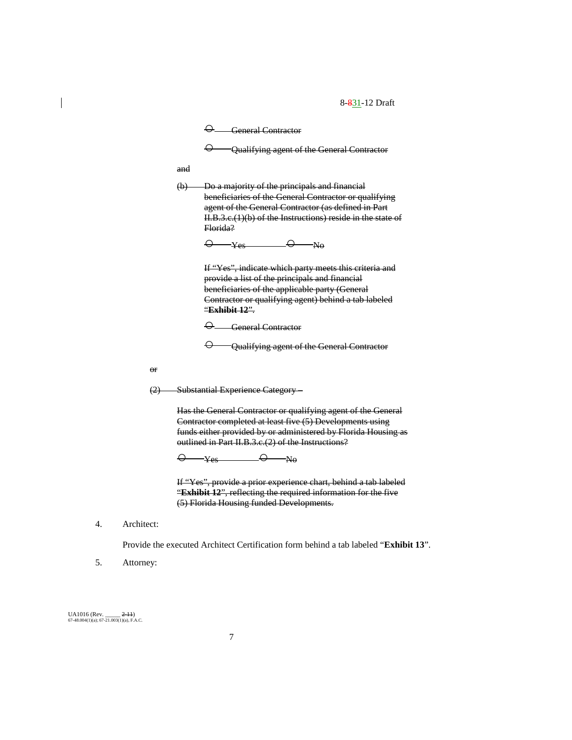$\Theta$  General Contractor  $\Theta$  - Qualifying agent of the General Contractor and (b) Do a majority of the principals and financial beneficiaries of the General Contractor or qualifying agent of the General Contractor (as defined in Part II.B.3.c.(1)(b) of the Instructions) reside in the state of Florida?  $\overline{\Theta}$   $\overline{\text{Yes}}$   $\overline{\Theta}$   $\overline{\text{N}}$ o If "Yes", indicate which party meets this criteria and provide a list of the principals and financial beneficiaries of the applicable party (General Contractor or qualifying agent) behind a tab labeled "**Exhibit 12**".  $\Theta$  General Contractor  $\Theta$  - Qualifying agent of the General Contractor

or

(2) Substantial Experience Category –

Has the General Contractor or qualifying agent of the General Contractor completed at least five (5) Developments using funds either provided by or administered by Florida Housing as outlined in Part II.B.3.c.(2) of the Instructions?

 $\overline{\Theta}$  Yes  $\overline{\Theta}$  No

If "Yes", provide a prior experience chart, behind a tab labeled "**Exhibit 12**", reflecting the required information for the five (5) Florida Housing funded Developments.

4. Architect:

Provide the executed Architect Certification form behind a tab labeled "**Exhibit 13**".

5. Attorney: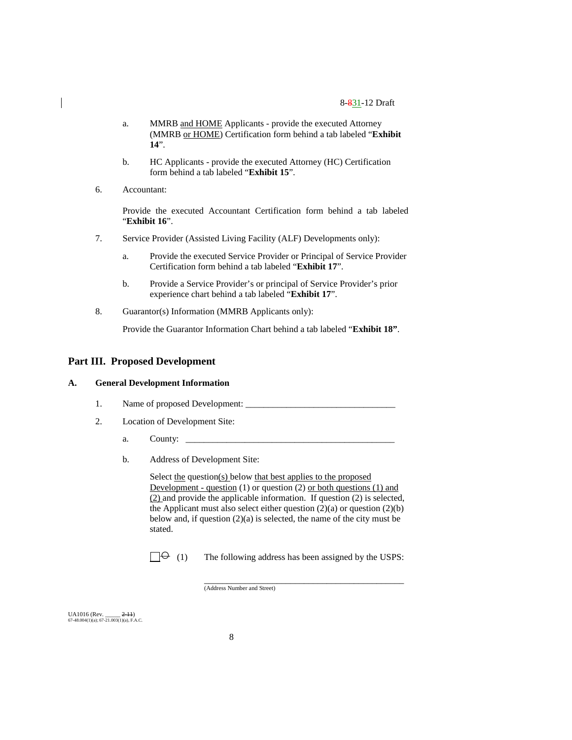- a. MMRB and HOME Applicants provide the executed Attorney (MMRB or HOME) Certification form behind a tab labeled "**Exhibit 14**".
- b. HC Applicants provide the executed Attorney (HC) Certification form behind a tab labeled "**Exhibit 15**".
- 6. Accountant:

Provide the executed Accountant Certification form behind a tab labeled "**Exhibit 16**".

- 7. Service Provider (Assisted Living Facility (ALF) Developments only):
	- a. Provide the executed Service Provider or Principal of Service Provider Certification form behind a tab labeled "**Exhibit 17**".
	- b. Provide a Service Provider's or principal of Service Provider's prior experience chart behind a tab labeled "**Exhibit 17**".
- 8. Guarantor(s) Information (MMRB Applicants only):

Provide the Guarantor Information Chart behind a tab labeled "**Exhibit 18"**.

# **Part III. Proposed Development**

## **A. General Development Information**

- 1. Name of proposed Development: \_\_\_\_\_\_\_\_\_\_\_\_\_\_\_\_\_\_\_\_\_\_\_\_\_\_\_\_\_\_\_\_\_
- 2. Location of Development Site:
	- a. County:  $\Box$
	- b. Address of Development Site:

Select the question(s) below that best applies to the proposed Development - question  $(1)$  or question  $(2)$  or both questions  $(1)$  and (2) and provide the applicable information. If question (2) is selected, the Applicant must also select either question  $(2)(a)$  or question  $(2)(b)$ below and, if question (2)(a) is selected, the name of the city must be stated.

 $\Box \Theta$  (1) The following address has been assigned by the USPS:

\_\_\_\_\_\_\_\_\_\_\_\_\_\_\_\_\_\_\_\_\_\_\_\_\_\_\_\_\_\_\_\_\_\_\_\_\_\_\_\_\_\_\_\_

(Address Number and Street)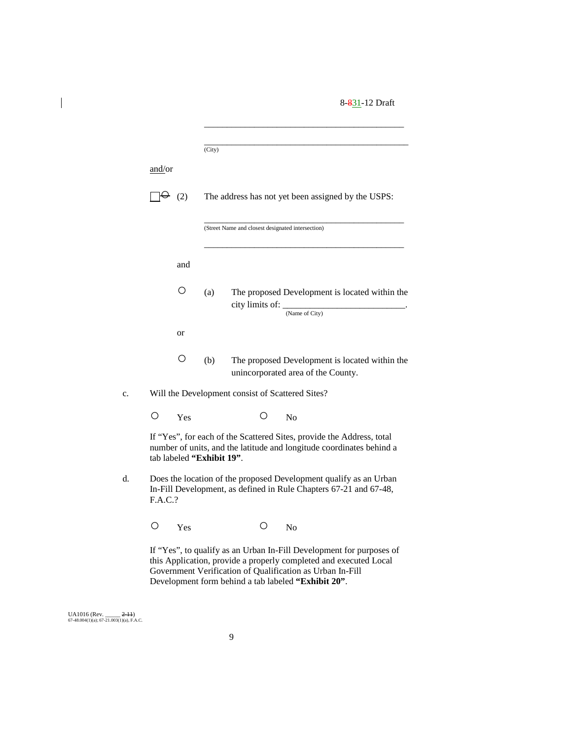|         |                           | (City) |                                                           |                |                                                                                                                                               |  |
|---------|---------------------------|--------|-----------------------------------------------------------|----------------|-----------------------------------------------------------------------------------------------------------------------------------------------|--|
| and/or  |                           |        |                                                           |                |                                                                                                                                               |  |
|         | $\theta$ (2)              |        |                                                           |                | The address has not yet been assigned by the USPS:                                                                                            |  |
|         |                           |        | (Street Name and closest designated intersection)         |                |                                                                                                                                               |  |
|         | and                       |        |                                                           |                |                                                                                                                                               |  |
|         | $\circ$                   | (a)    | city limits of: _                                         | (Name of City) | The proposed Development is located within the                                                                                                |  |
|         | or                        |        |                                                           |                |                                                                                                                                               |  |
|         | Ο                         | (b)    | unincorporated area of the County.                        |                | The proposed Development is located within the                                                                                                |  |
|         |                           |        | Will the Development consist of Scattered Sites?          |                |                                                                                                                                               |  |
| Ω       | Yes                       |        | $\left(\right)$                                           | N <sub>0</sub> |                                                                                                                                               |  |
|         | tab labeled "Exhibit 19". |        |                                                           |                | If "Yes", for each of the Scattered Sites, provide the Address, total<br>number of units, and the latitude and longitude coordinates behind a |  |
| F.A.C.? |                           |        |                                                           |                | Does the location of the proposed Development qualify as an Urban<br>In-Fill Development, as defined in Rule Chapters 67-21 and 67-48,        |  |
| $\circ$ | Yes                       |        | Ő                                                         | N <sub>o</sub> |                                                                                                                                               |  |
|         |                           |        | Government Verification of Qualification as Urban In-Fill |                | If "Yes", to qualify as an Urban In-Fill Development for purposes of<br>this Application, provide a properly completed and executed Local     |  |

UA1016 (Rev. \_\_\_\_\_ <del>2-11</del>)<br>67-48.004(1)(a); 67-21.003(1)(a), F.A.C.

 $\overline{\phantom{a}}$ 

Development form behind a tab labeled **"Exhibit 20"**.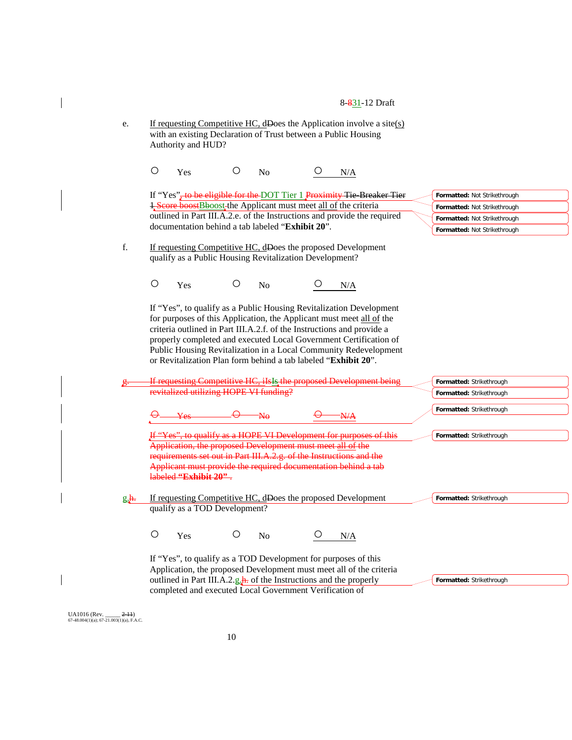|             | 8-831-12 Draft                                                                                                                                                                                                                                                                                                                                                                                                                   |                                                              |
|-------------|----------------------------------------------------------------------------------------------------------------------------------------------------------------------------------------------------------------------------------------------------------------------------------------------------------------------------------------------------------------------------------------------------------------------------------|--------------------------------------------------------------|
| e.          | If requesting Competitive HC, dDoes the Application involve a site( $s$ )<br>with an existing Declaration of Trust between a Public Housing<br>Authority and HUD?                                                                                                                                                                                                                                                                |                                                              |
|             | $\bigcirc$<br>O<br>Yes<br>N <sub>o</sub><br>N/A                                                                                                                                                                                                                                                                                                                                                                                  |                                                              |
|             | If "Yes", to be eligible for the DOT Tier 1 Proximity Tie Breaker Tier<br>1. Score boost Bboost-the Applicant must meet all of the criteria                                                                                                                                                                                                                                                                                      | Formatted: Not Strikethrough<br>Formatted: Not Strikethrough |
|             | outlined in Part III.A.2.e. of the Instructions and provide the required<br>documentation behind a tab labeled "Exhibit 20".                                                                                                                                                                                                                                                                                                     | Formatted: Not Strikethrough<br>Formatted: Not Strikethrough |
| f.          | If requesting Competitive HC, dDoes the proposed Development<br>qualify as a Public Housing Revitalization Development?                                                                                                                                                                                                                                                                                                          |                                                              |
|             | $\bigcirc$<br>$\circ$<br>Yes<br>No<br>N/A                                                                                                                                                                                                                                                                                                                                                                                        |                                                              |
|             | If "Yes", to qualify as a Public Housing Revitalization Development<br>for purposes of this Application, the Applicant must meet all of the<br>criteria outlined in Part III.A.2.f. of the Instructions and provide a<br>properly completed and executed Local Government Certification of<br>Public Housing Revitalization in a Local Community Redevelopment<br>or Revitalization Plan form behind a tab labeled "Exhibit 20". |                                                              |
|             | If requesting Competitive HC, ils Is the proposed Development being                                                                                                                                                                                                                                                                                                                                                              | Formatted: Strikethrough                                     |
|             | revitalized utilizing HOPE VI funding?                                                                                                                                                                                                                                                                                                                                                                                           | Formatted: Strikethrough                                     |
|             |                                                                                                                                                                                                                                                                                                                                                                                                                                  | Formatted: Strikethrough                                     |
|             | If "Yes", to qualify as a HOPE VI Development for purposes of this                                                                                                                                                                                                                                                                                                                                                               | Formatted: Strikethrough                                     |
|             | Application, the proposed Development must meet all of the<br>requirements set out in Part III.A.2.g. of the Instructions and the<br>Applicant must provide the required documentation behind a tab<br>labeled "Exhibit 20".                                                                                                                                                                                                     |                                                              |
| <u>g.h.</u> | If requesting Competitive HC, dDoes the proposed Development<br>qualify as a TOD Development?                                                                                                                                                                                                                                                                                                                                    | Formatted: Strikethrough                                     |
|             | $\circ$<br>Ő<br>Yes<br>N <sub>0</sub><br>N/A                                                                                                                                                                                                                                                                                                                                                                                     |                                                              |

UA1016 (Rev. \_\_\_\_\_ <del>2-11</del>)<br>67-48.004(1)(a); 67-21.003(1)(a), F.A.C.

 $\overline{\phantom{a}}$ 

 $\overline{\phantom{a}}$ 

 $\overline{\phantom{a}}$ 

 $\begin{array}{c} \hline \end{array}$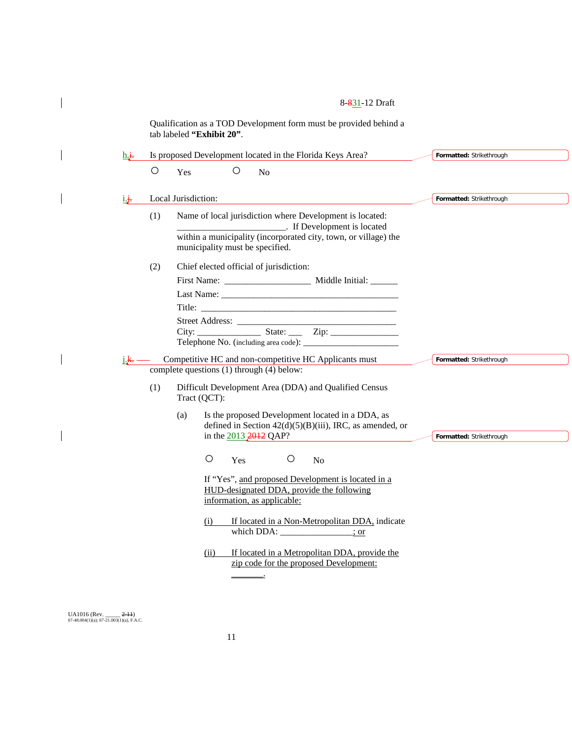Qualification as a TOD Development form must be provided behind a tab labeled **"Exhibit 20"**.

| $h +$            |            |                                                                                                                                                                                                             |                          |
|------------------|------------|-------------------------------------------------------------------------------------------------------------------------------------------------------------------------------------------------------------|--------------------------|
|                  |            | Is proposed Development located in the Florida Keys Area?                                                                                                                                                   | Formatted: Strikethrough |
|                  | $\bigcirc$ | $\circ$<br>Yes<br>N <sub>o</sub>                                                                                                                                                                            |                          |
| i.j.             |            | Local Jurisdiction:                                                                                                                                                                                         | Formatted: Strikethrough |
|                  | (1)        | Name of local jurisdiction where Development is located:<br><b>EXECUTE:</b> If Development is located<br>within a municipality (incorporated city, town, or village) the<br>municipality must be specified. |                          |
|                  | (2)        | Chief elected official of jurisdiction:                                                                                                                                                                     |                          |
|                  |            |                                                                                                                                                                                                             |                          |
|                  |            |                                                                                                                                                                                                             |                          |
| j. <del>k.</del> |            | Competitive HC and non-competitive HC Applicants must                                                                                                                                                       | Formatted: Strikethrough |
|                  |            |                                                                                                                                                                                                             |                          |
|                  |            | complete questions (1) through (4) below:                                                                                                                                                                   |                          |
|                  | (1)        | Difficult Development Area (DDA) and Qualified Census<br>Tract (QCT):                                                                                                                                       |                          |
|                  |            | Is the proposed Development located in a DDA, as<br>(a)<br>defined in Section $42(d)(5)(B)(iii)$ , IRC, as amended, or<br>in the $2013 \cancel{2012}$ QAP?                                                  | Formatted: Strikethrough |
|                  |            | $\circ$<br>O<br>N <sub>o</sub><br>Yes                                                                                                                                                                       |                          |
|                  |            | If "Yes", and proposed Development is located in a<br>HUD-designated DDA, provide the following<br>information, as applicable:                                                                              |                          |
|                  |            | If located in a Non-Metropolitan DDA, indicate<br>(i)<br>which DDA: ; or                                                                                                                                    |                          |

UA1016 (Rev. \_\_\_\_\_ <del>2-11</del>)<br>67-48.004(1)(a); 67-21.003(1)(a), F.A.C.

 $\overline{\phantom{a}}$ 

 $\overline{\phantom{a}}$ 

 $\overline{\phantom{a}}$ 

 $\overline{\phantom{a}}$ 

 $\overline{\phantom{a}}$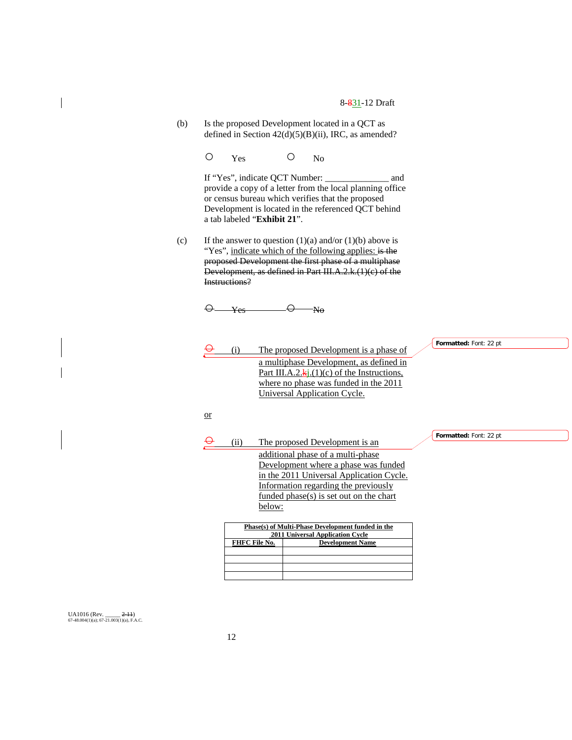(b) Is the proposed Development located in a QCT as defined in Section 42(d)(5)(B)(ii), IRC, as amended?

O Yes O No

If "Yes", indicate QCT Number: \_\_\_\_\_\_\_\_\_\_\_\_\_\_ and provide a copy of a letter from the local planning office or census bureau which verifies that the proposed Development is located in the referenced QCT behind a tab labeled "**Exhibit 21**".

(c) If the answer to question  $(1)(a)$  and/or  $(1)(b)$  above is "Yes", indicate which of the following applies: is the proposed Development the first phase of a multiphase Development, as defined in Part III.A.2.k.(1)(c) of the Instructions?

 $\Theta$  Yes  $\Theta$  No

| ⊖  | (i)           |        | The proposed Development is a phase of                   | Formatted: Font: 22 pt |
|----|---------------|--------|----------------------------------------------------------|------------------------|
|    |               |        | a multiphase Development, as defined in                  |                        |
|    |               |        | Part III.A.2. $\mathbf{k}$ j.(1)(c) of the Instructions, |                        |
|    |               |        | where no phase was funded in the 2011                    |                        |
|    |               |        | Universal Application Cycle.                             |                        |
|    |               |        |                                                          |                        |
| or |               |        |                                                          |                        |
|    |               |        |                                                          |                        |
|    |               |        |                                                          | Formatted: Font: 22 pt |
|    | (ii)          |        | The proposed Development is an                           |                        |
|    |               |        | additional phase of a multi-phase                        |                        |
|    |               |        | Development where a phase was funded                     |                        |
|    |               |        | in the 2011 Universal Application Cycle.                 |                        |
|    |               |        | Information regarding the previously                     |                        |
|    |               |        | <u>funded phase(s) is set out on the chart</u>           |                        |
|    |               | below: |                                                          |                        |
|    |               |        |                                                          |                        |
|    |               |        | Phase(s) of Multi-Phase Development funded in the        |                        |
|    |               |        | <b>2011 Universal Application Cycle</b>                  |                        |
|    | FHFC File No. |        | <b>Development Name</b>                                  |                        |
|    |               |        |                                                          |                        |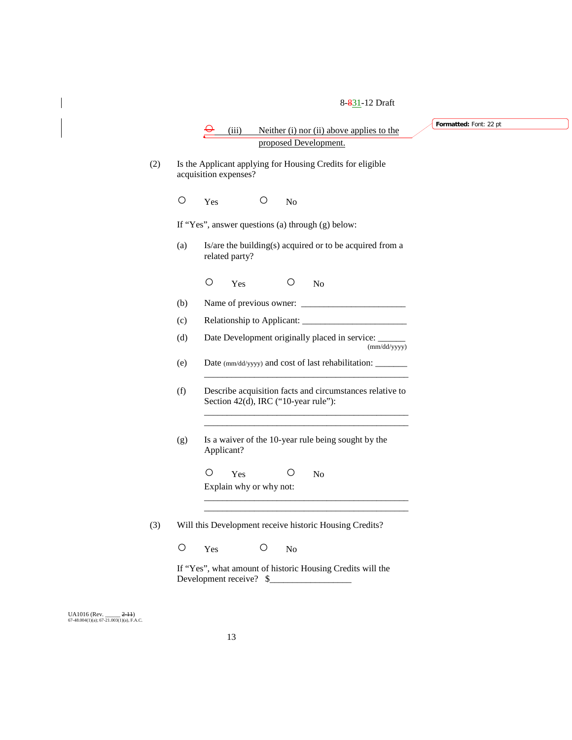$(iii)$  Neither  $(i)$  nor  $(ii)$  above applies to the proposed Development. (2) Is the Applicant applying for Housing Credits for eligible acquisition expenses? O Yes O No If "Yes", answer questions (a) through (g) below: (a) Is/are the building(s) acquired or to be acquired from a related party? O Yes O No (b) Name of previous owner: (c) Relationship to Applicant: \_\_\_\_\_\_\_\_\_\_\_\_\_\_\_\_\_\_\_\_\_\_\_ (d) Date Development originally placed in service: (mm/dd/yyyy) (e) Date (mm/dd/yyyy) and cost of last rehabilitation: \_\_\_\_\_\_\_ \_\_\_\_\_\_\_\_\_\_\_\_\_\_\_\_\_\_\_\_\_\_\_\_\_\_\_\_\_\_\_\_\_\_\_\_\_\_\_\_\_\_\_\_\_ (f) Describe acquisition facts and circumstances relative to Section 42(d), IRC ("10-year rule"): \_\_\_\_\_\_\_\_\_\_\_\_\_\_\_\_\_\_\_\_\_\_\_\_\_\_\_\_\_\_\_\_\_\_\_\_\_\_\_\_\_\_\_\_\_ \_\_\_\_\_\_\_\_\_\_\_\_\_\_\_\_\_\_\_\_\_\_\_\_\_\_\_\_\_\_\_\_\_\_\_\_\_\_\_\_\_\_\_\_\_ (g) Is a waiver of the 10-year rule being sought by the Applicant? O Yes O No Explain why or why not: \_\_\_\_\_\_\_\_\_\_\_\_\_\_\_\_\_\_\_\_\_\_\_\_\_\_\_\_\_\_\_\_\_\_\_\_\_\_\_\_\_\_\_\_\_ \_\_\_\_\_\_\_\_\_\_\_\_\_\_\_\_\_\_\_\_\_\_\_\_\_\_\_\_\_\_\_\_\_\_\_\_\_\_\_\_\_\_\_\_\_ (3) Will this Development receive historic Housing Credits? O Yes O No If "Yes", what amount of historic Housing Credits will the **Formatted:** Font: 22 pt

UA1016 (Rev. \_\_\_\_\_ <del>2-11</del>)<br>67-48.004(1)(a); 67-21.003(1)(a), F.A.C.

Development receive? \$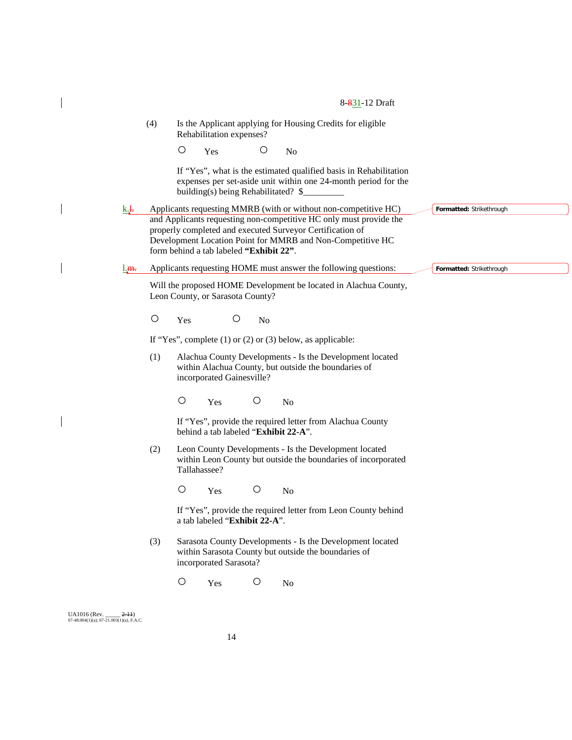|                                                                    | (4)     | Rehabilitation expenses?                                                                             | Is the Applicant applying for Housing Credits for eligible                                                                          |                          |
|--------------------------------------------------------------------|---------|------------------------------------------------------------------------------------------------------|-------------------------------------------------------------------------------------------------------------------------------------|--------------------------|
|                                                                    |         | O<br>O<br>Yes                                                                                        | N <sub>o</sub>                                                                                                                      |                          |
|                                                                    |         | building(s) being Rehabilitated? \$                                                                  | If "Yes", what is the estimated qualified basis in Rehabilitation<br>expenses per set-aside unit within one 24-month period for the |                          |
| <u>k.</u>                                                          |         |                                                                                                      | Applicants requesting MMRB (with or without non-competitive HC)                                                                     | Formatted: Strikethrough |
|                                                                    |         | properly completed and executed Surveyor Certification of<br>form behind a tab labeled "Exhibit 22". | and Applicants requesting non-competitive HC only must provide the<br>Development Location Point for MMRB and Non-Competitive HC    |                          |
| <u>l.m.</u>                                                        |         |                                                                                                      | Applicants requesting HOME must answer the following questions:                                                                     | Formatted: Strikethrough |
|                                                                    |         | Leon County, or Sarasota County?                                                                     | Will the proposed HOME Development be located in Alachua County,                                                                    |                          |
|                                                                    | $\circ$ | $\circ$<br>Yes<br>No                                                                                 |                                                                                                                                     |                          |
|                                                                    |         | If "Yes", complete $(1)$ or $(2)$ or $(3)$ below, as applicable:                                     |                                                                                                                                     |                          |
|                                                                    | (1)     | incorporated Gainesville?                                                                            | Alachua County Developments - Is the Development located<br>within Alachua County, but outside the boundaries of                    |                          |
|                                                                    |         | $\bigcirc$<br>$\bigcirc$<br>Yes                                                                      | N <sub>o</sub>                                                                                                                      |                          |
|                                                                    |         | behind a tab labeled "Exhibit 22-A".                                                                 | If "Yes", provide the required letter from Alachua County                                                                           |                          |
|                                                                    | (2)     | Tallahassee?                                                                                         | Leon County Developments - Is the Development located<br>within Leon County but outside the boundaries of incorporated              |                          |
|                                                                    |         | $\bigcirc$<br>$\circ$<br>Yes                                                                         | N <sub>o</sub>                                                                                                                      |                          |
|                                                                    |         | a tab labeled "Exhibit 22-A".                                                                        | If "Yes", provide the required letter from Leon County behind                                                                       |                          |
|                                                                    | (3)     | incorporated Sarasota?                                                                               | Sarasota County Developments - Is the Development located<br>within Sarasota County but outside the boundaries of                   |                          |
|                                                                    |         | $\bigcirc$<br>$\bigcirc$<br>Yes                                                                      | N <sub>o</sub>                                                                                                                      |                          |
|                                                                    |         |                                                                                                      |                                                                                                                                     |                          |
| UA1016 (Rev.<br>$2-11$<br>67-48.004(1)(a); 67-21.003(1)(a), F.A.C. |         |                                                                                                      |                                                                                                                                     |                          |

 $\overline{\phantom{a}}$ 

 $\mathcal I$ 

 $\overline{\phantom{a}}$ 

 $\mathcal I$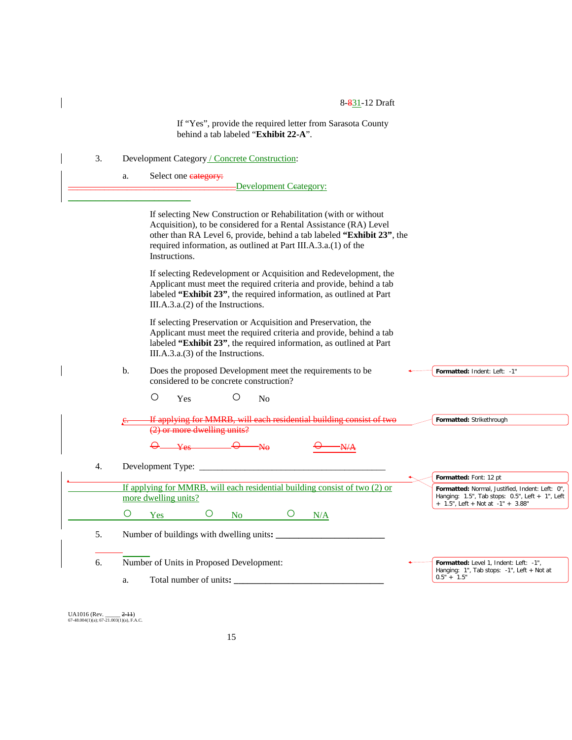If "Yes", provide the required letter from Sarasota County behind a tab labeled "**Exhibit 22-A**".

- 3. Development Category / Concrete Construction:
	- a. Select one category:

 $\overline{\phantom{a}}$ 

-Development Ceategory:

|          | If selecting New Construction or Rehabilitation (with or without<br>Acquisition), to be considered for a Rental Assistance (RA) Level<br>other than RA Level 6, provide, behind a tab labeled "Exhibit 23", the<br>required information, as outlined at Part III.A.3.a.(1) of the<br>Instructions. |                                                                                                                                                        |
|----------|----------------------------------------------------------------------------------------------------------------------------------------------------------------------------------------------------------------------------------------------------------------------------------------------------|--------------------------------------------------------------------------------------------------------------------------------------------------------|
|          | If selecting Redevelopment or Acquisition and Redevelopment, the<br>Applicant must meet the required criteria and provide, behind a tab<br>labeled "Exhibit 23", the required information, as outlined at Part<br>$III.A.3.a.(2)$ of the Instructions.                                             |                                                                                                                                                        |
|          | If selecting Preservation or Acquisition and Preservation, the<br>Applicant must meet the required criteria and provide, behind a tab<br>labeled "Exhibit 23", the required information, as outlined at Part<br>$III.A.3.a.(3)$ of the Instructions.                                               |                                                                                                                                                        |
| b.       | Does the proposed Development meet the requirements to be<br>considered to be concrete construction?<br>$\circ$<br>O<br>Yes<br>N <sub>0</sub>                                                                                                                                                      | Formatted: Indent: Left: -1"                                                                                                                           |
|          | If applying for MMRB, will each residential building consist of two<br>(2) or more dwelling units?                                                                                                                                                                                                 | Formatted: Strikethrough                                                                                                                               |
| 4.       |                                                                                                                                                                                                                                                                                                    | Formatted: Font: 12 pt                                                                                                                                 |
| $\circ$  | If applying for MMRB, will each residential building consist of two $(2)$ or<br>more dwelling units?<br>$\circ$<br>$\circ$<br>N <sub>o</sub><br>Yes<br>N/A                                                                                                                                         | Formatted: Normal, Justified, Indent: Left: 0",<br>Hanging: $1.5$ ", Tab stops: $0.5$ ", Left + $1$ ", Left<br>$+ 1.5$ ", Left + Not at $-1$ " + 3.88" |
| 5.       | Number of buildings with dwelling units:                                                                                                                                                                                                                                                           |                                                                                                                                                        |
| 6.<br>a. | Number of Units in Proposed Development:<br>Total number of units:                                                                                                                                                                                                                                 | Formatted: Level 1, Indent: Left: -1",<br>Hanging: 1", Tab stops: -1", Left + Not at<br>$0.5" + 1.5"$                                                  |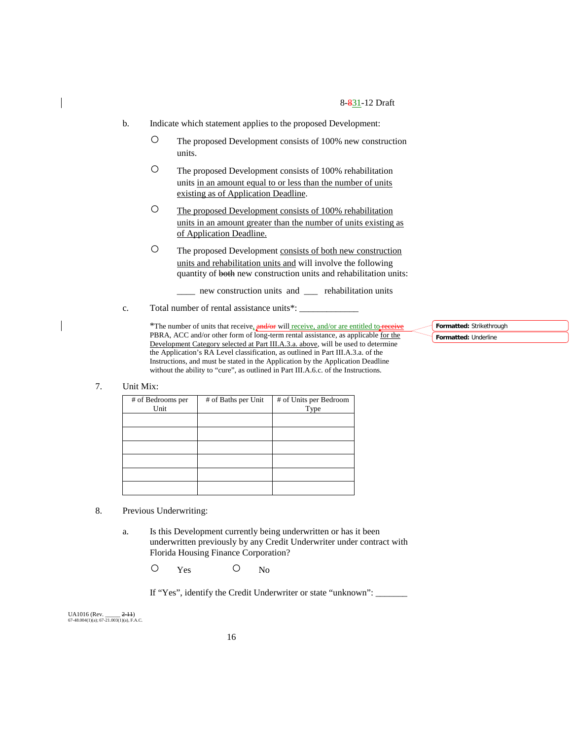- b. Indicate which statement applies to the proposed Development:
	- The proposed Development consists of 100% new construction units.
	- The proposed Development consists of 100% rehabilitation units in an amount equal to or less than the number of units existing as of Application Deadline.
	- O The proposed Development consists of 100% rehabilitation units in an amount greater than the number of units existing as of Application Deadline.
	- The proposed Development consists of both new construction units and rehabilitation units and will involve the following quantity of both new construction units and rehabilitation units:
		- \_\_\_\_ new construction units and \_\_\_ rehabilitation units
- c. Total number of rental assistance units\*:

\*The number of units that receive,  $\frac{\text{and/or}}{\text{or}}$  will receive, and/or are entitled to-PBRA, ACC and/or other form of long-term rental assistance, as applicable for the Development Category selected at Part III.A.3.a. above, will be used to determine the Application's RA Level classification, as outlined in Part III.A.3.a. of the Instructions, and must be stated in the Application by the Application Deadline without the ability to "cure", as outlined in Part III.A.6.c. of the Instructions.

**Formatted:** Strikethrough **Formatted:** Underline

7. Unit Mix:

| # of Bedrooms per<br>Unit | # of Baths per Unit | # of Units per Bedroom<br>Type |
|---------------------------|---------------------|--------------------------------|
|                           |                     |                                |
|                           |                     |                                |
|                           |                     |                                |
|                           |                     |                                |
|                           |                     |                                |
|                           |                     |                                |

- 8. Previous Underwriting:
	- a. Is this Development currently being underwritten or has it been underwritten previously by any Credit Underwriter under contract with Florida Housing Finance Corporation?

O Yes O No

If "Yes", identify the Credit Underwriter or state "unknown": \_\_\_\_\_\_\_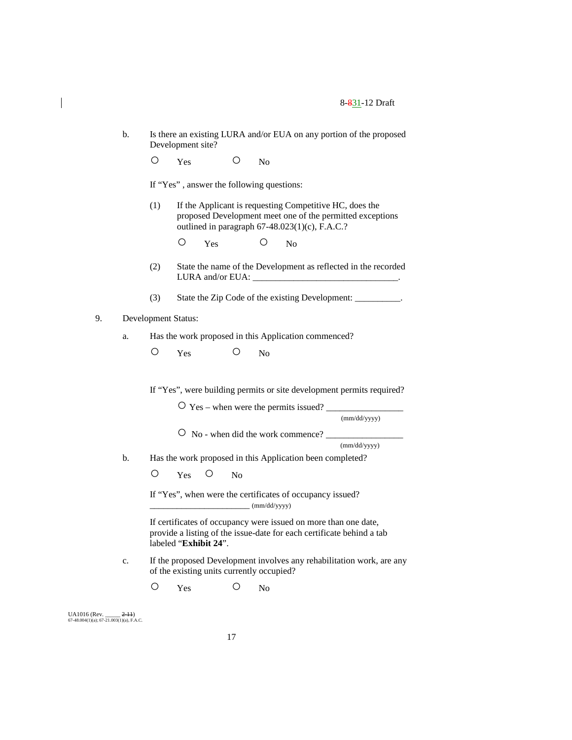- b. Is there an existing LURA and/or EUA on any portion of the proposed Development site?
	- O Yes O No

If "Yes" , answer the following questions:

- (1) If the Applicant is requesting Competitive HC, does the proposed Development meet one of the permitted exceptions outlined in paragraph 67-48.023(1)(c), F.A.C.?
	- O Yes O No
- (2) State the name of the Development as reflected in the recorded LURA and/or EUA:
- (3) State the Zip Code of the existing Development: \_\_\_\_\_\_\_\_\_\_\_.

# 9. Development Status:

- a. Has the work proposed in this Application commenced?
	- O Yes O No

If "Yes", were building permits or site development permits required?

 $\overline{O}$  Yes – when were the permits issued? (mm/dd/yyyy) ○ No - when did the work commence? \_\_\_\_\_\_\_\_\_\_\_\_\_\_\_\_\_ (mm/dd/yyyy) b. Has the work proposed in this Application been completed? O Yes O No If "Yes", when were the certificates of occupancy issued?  $(mm/dd/yyyy)$ 

If certificates of occupancy were issued on more than one date, provide a listing of the issue-date for each certificate behind a tab labeled "**Exhibit 24**".

c. If the proposed Development involves any rehabilitation work, are any of the existing units currently occupied?

O Yes O No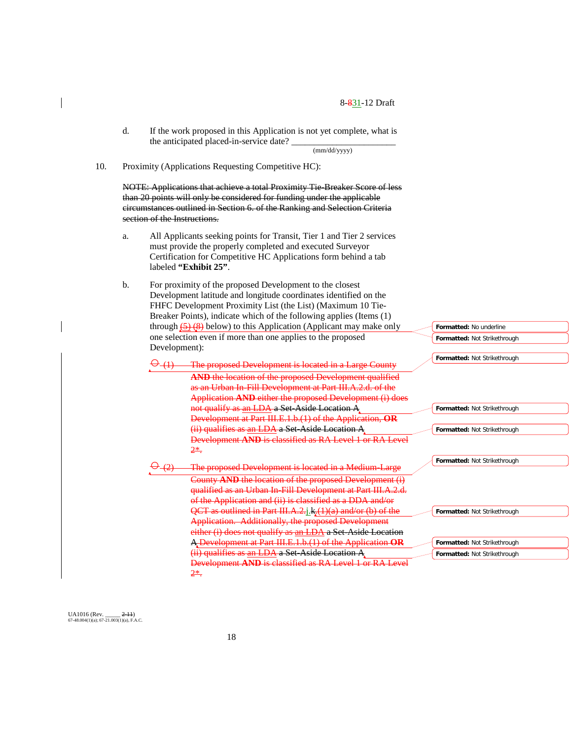d. If the work proposed in this Application is not yet complete, what is the anticipated placed-in-service date?

(mm/dd/yyyy)

10. Proximity (Applications Requesting Competitive HC):

NOTE: Applications that achieve a total Proximity Tie-Breaker Score of less than 20 points will only be considered for funding under the applicable circumstances outlined in Section 6. of the Ranking and Selection Criteria section of the Instructions.

- a. All Applicants seeking points for Transit, Tier 1 and Tier 2 services must provide the properly completed and executed Surveyor Certification for Competitive HC Applications form behind a tab labeled **"Exhibit 25"**.
- b. For proximity of the proposed Development to the closest Development latitude and longitude coordinates identified on the FHFC Development Proximity List (the List) (Maximum 10 Tie-Breaker Points), indicate which of the following applies (Items (1) through  $(5)$   $(8)$  below) to this Application (Applicant may make only one selection even if more than one applies to the proposed Development):

(1) The proposed Development is located in a Large County **AND** the location of the proposed Development qualified as an Urban In-Fill Development at Part III.A.2.d. of the Application **AND** either the proposed Development (i) does not qualify as an LDA a Set-Aside Location A Development at Part III.E.1.b.(1) of the Application, **OR** (ii) qualifies as an LDA a Set-Aside Location A Development **AND** is classified as RA Level 1 or RA Level 2\*.

The proposed Development is located in a Medium-Large County **AND** the location of the proposed Development (i) qualified as an Urban In-Fill Development at Part III.A.2.d. of the Application and (ii) is classified as a DDA and/or QCT as outlined in Part III.A.2.j<sub>1</sub>k<sub>x</sub>(1)(a) and/or (b) of the Application. Additionally, the proposed Development either (i) does not qualify as an LDA a Set-Aside Location A Development at Part III.E.1.b.(1) of the Application **OR** (ii) qualifies as an LDA a Set-Aside Location A Development **AND** is classified as RA Level 1 or RA Level 2\*.

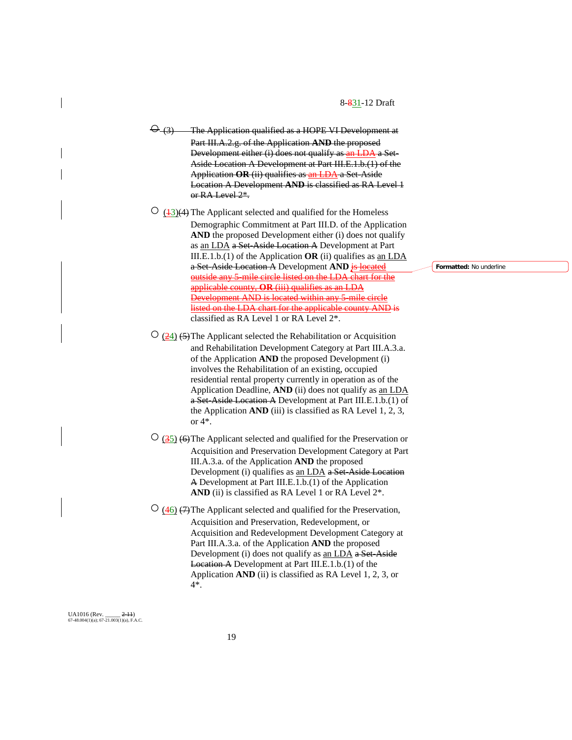The Application qualified as a HOPE VI Development at Part III.A.2.g. of the Application **AND** the proposed Development either (i) does not qualify as an LDA a Set-Aside Location A Development at Part III.E.1.b.(1) of the Application **OR** (ii) qualifies as an LDA a Set-Aside Location A Development **AND** is classified as RA Level 1 or RA Level 2\*.

 $\circ$  (43)(4) The Applicant selected and qualified for the Homeless Demographic Commitment at Part III.D. of the Application **AND** the proposed Development either (i) does not qualify as an LDA a Set-Aside Location A Development at Part III.E.1.b.(1) of the Application **OR** (ii) qualifies as an LDA a Set-Aside Location A Development AND is located outside any 5-mile circle listed on the LDA chart for the applicable county, **OR** (iii) qualifies as an LDA Development AND is located within any 5-mile circle listed on the LDA chart for the applicable county AND classified as RA Level 1 or RA Level 2\*.

 $\frac{(24)}{(24)}$  (5) The Applicant selected the Rehabilitation or Acquisition and Rehabilitation Development Category at Part III.A.3.a. of the Application **AND** the proposed Development (i) involves the Rehabilitation of an existing, occupied residential rental property currently in operation as of the Application Deadline, **AND** (ii) does not qualify as an LDA a Set-Aside Location A Development at Part III.E.1.b.(1) of the Application **AND** (iii) is classified as RA Level 1, 2, 3, or 4\*.

 $\overline{O}$  (35) (6) The Applicant selected and qualified for the Preservation or Acquisition and Preservation Development Category at Part III.A.3.a. of the Application **AND** the proposed Development (i) qualifies as an LDA a Set-Aside Location A Development at Part III.E.1.b.(1) of the Application AND (ii) is classified as RA Level 1 or RA Level  $2^*$ .

 $\overline{O}$  (46) (7)The Applicant selected and qualified for the Preservation, Acquisition and Preservation, Redevelopment, or Acquisition and Redevelopment Development Category at Part III.A.3.a. of the Application **AND** the proposed Development (i) does not qualify as an LDA a Set-Aside Location A Development at Part III.E.1.b.(1) of the Application **AND** (ii) is classified as RA Level 1, 2, 3, or 4\*.

UA1016 (Rev. \_\_\_\_\_ 2-11)  $67-48.004(1)(a)$ ;  $67-21.003(1)(a)$ , F.A.C. **Formatted:** No underline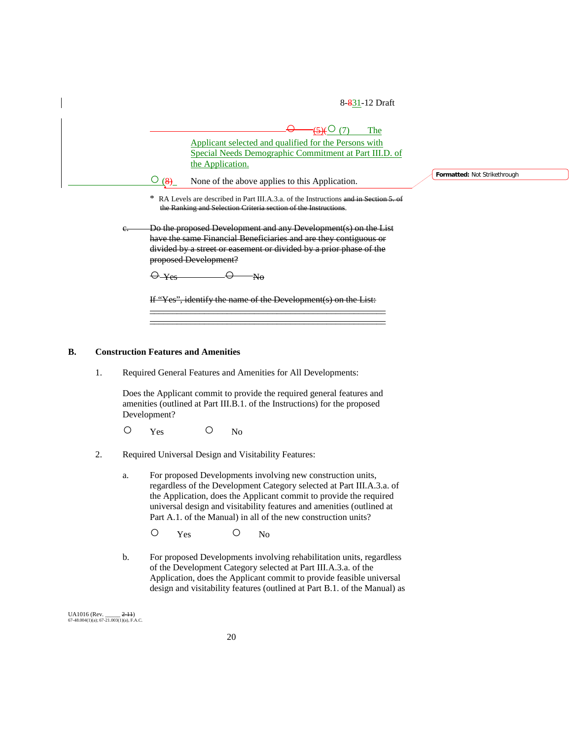$(5)$ (9) The Applicant selected and qualified for the Persons with Special Needs Demographic Commitment at Part III.D. of the Application.  $\frac{O(8)}{8}$  None of the above applies to this Application. \* RA Levels are described in Part III.A.3.a. of the Instructions and in Section the Ranking and Selection Criteria section of the Instructions. Do the proposed Development and any Development(s) on the List have the same Financial Beneficiaries and are they contiguous or divided by a street or easement or divided by a prior phase of the proposed Development?  $\Theta$ -Yes  $\Theta$  No If "Yes", identify the name of the Development(s) on the List: \_\_\_\_\_\_\_\_\_\_\_\_\_\_\_\_\_\_\_\_\_\_\_\_\_\_\_\_\_\_\_\_\_\_\_\_\_\_\_\_\_\_\_\_\_\_\_\_\_\_\_\_ \_\_\_\_\_\_\_\_\_\_\_\_\_\_\_\_\_\_\_\_\_\_\_\_\_\_\_\_\_\_\_\_\_\_\_\_\_\_\_\_\_\_\_\_\_\_\_\_\_\_\_\_

#### **B. Construction Features and Amenities**

1. Required General Features and Amenities for All Developments:

Does the Applicant commit to provide the required general features and amenities (outlined at Part III.B.1. of the Instructions) for the proposed Development?

- O Yes O No
- 2. Required Universal Design and Visitability Features:
	- a. For proposed Developments involving new construction units, regardless of the Development Category selected at Part III.A.3.a. of the Application, does the Applicant commit to provide the required universal design and visitability features and amenities (outlined at Part A.1. of the Manual) in all of the new construction units?
		- O Yes O No
	- b. For proposed Developments involving rehabilitation units, regardless of the Development Category selected at Part III.A.3.a. of the Application, does the Applicant commit to provide feasible universal design and visitability features (outlined at Part B.1. of the Manual) as

UA1016 (Rev. \_\_\_\_\_ 2-11)  $67-48.004(1)(a)$ ;  $67-21.003(1)(a)$ , F.A.C. **Formatted:** Not Strikethrough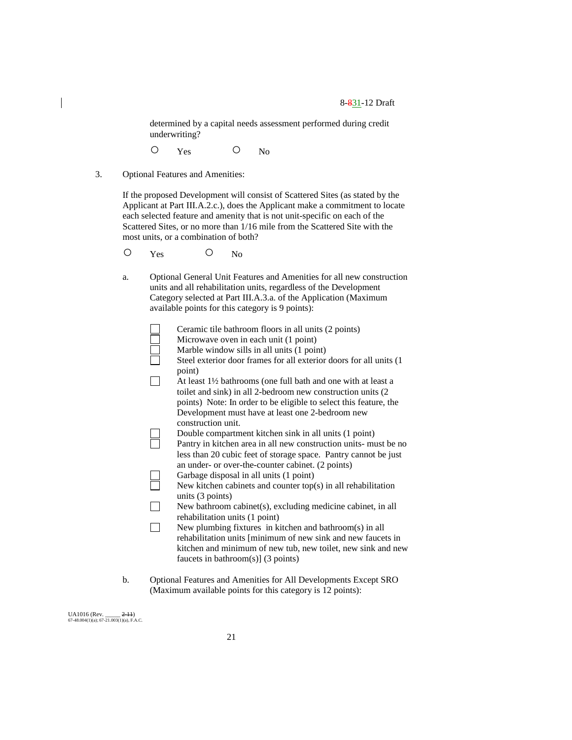determined by a capital needs assessment performed during credit underwriting?

- O Yes O No
- 3. Optional Features and Amenities:

If the proposed Development will consist of Scattered Sites (as stated by the Applicant at Part III.A.2.c.), does the Applicant make a commitment to locate each selected feature and amenity that is not unit-specific on each of the Scattered Sites, or no more than 1/16 mile from the Scattered Site with the most units, or a combination of both?

- O Yes O No
- a. Optional General Unit Features and Amenities for all new construction units and all rehabilitation units, regardless of the Development Category selected at Part III.A.3.a. of the Application (Maximum available points for this category is 9 points):

|    | Ceramic tile bathroom floors in all units (2 points)                                                                                                                                                                                                                                  |
|----|---------------------------------------------------------------------------------------------------------------------------------------------------------------------------------------------------------------------------------------------------------------------------------------|
|    | Microwave oven in each unit (1 point)                                                                                                                                                                                                                                                 |
|    | Marble window sills in all units (1 point)                                                                                                                                                                                                                                            |
|    | Steel exterior door frames for all exterior doors for all units (1                                                                                                                                                                                                                    |
|    | point)<br>At least 1½ bathrooms (one full bath and one with at least a<br>toilet and sink) in all 2-bedroom new construction units (2)<br>points) Note: In order to be eligible to select this feature, the<br>Development must have at least one 2-bedroom new<br>construction unit. |
|    | Double compartment kitchen sink in all units (1 point)<br>Pantry in kitchen area in all new construction units- must be no<br>less than 20 cubic feet of storage space. Pantry cannot be just                                                                                         |
|    | an under- or over-the-counter cabinet. (2 points)                                                                                                                                                                                                                                     |
|    | Garbage disposal in all units (1 point)                                                                                                                                                                                                                                               |
|    | New kitchen cabinets and counter $top(s)$ in all rehabilitation                                                                                                                                                                                                                       |
|    | units $(3 \text{ points})$                                                                                                                                                                                                                                                            |
|    | New bathroom cabinet(s), excluding medicine cabinet, in all<br>rehabilitation units (1 point)                                                                                                                                                                                         |
|    | New plumbing fixtures in kitchen and bathroom(s) in all<br>rehabilitation units [minimum of new sink and new faucets in<br>kitchen and minimum of new tub, new toilet, new sink and new<br>faucets in bathroom(s)] $(3 \text{ points})$                                               |
| b. | Optional Features and Amenities for All Developments Except SRO<br>(Maximum available points for this category is 12 points):                                                                                                                                                         |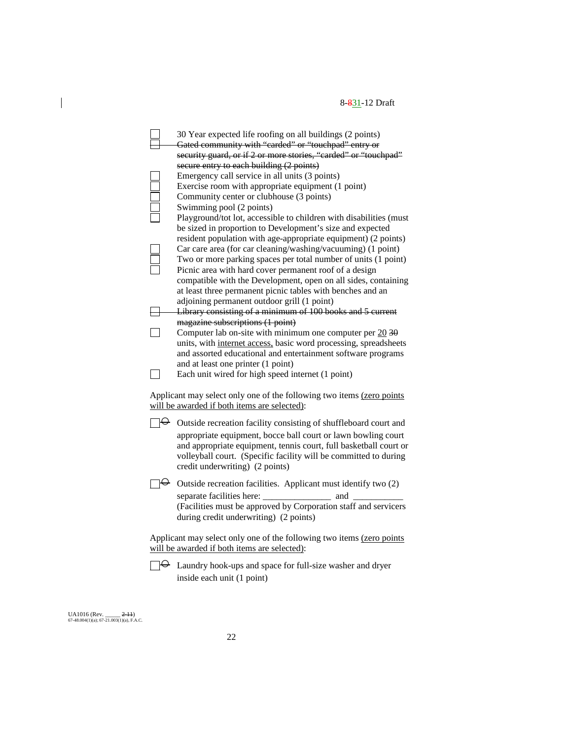| 30 Year expected life roofing on all buildings (2 points)<br>Gated community with "carded" or "touchpad" entry or<br>security guard, or if 2 or more stories, "carded" or "touchpad"                                                                                                                                     |
|--------------------------------------------------------------------------------------------------------------------------------------------------------------------------------------------------------------------------------------------------------------------------------------------------------------------------|
| secure entry to each building (2 points)<br>Emergency call service in all units (3 points)<br>Exercise room with appropriate equipment (1 point)<br>Community center or clubhouse (3 points)<br>Swimming pool (2 points)                                                                                                 |
| Playground/tot lot, accessible to children with disabilities (must<br>be sized in proportion to Development's size and expected<br>resident population with age-appropriate equipment) (2 points)                                                                                                                        |
| Car care area (for car cleaning/washing/vacuuming) (1 point)<br>Two or more parking spaces per total number of units (1 point)<br>Picnic area with hard cover permanent roof of a design<br>compatible with the Development, open on all sides, containing<br>at least three permanent picnic tables with benches and an |
| adjoining permanent outdoor grill (1 point)<br>Library consisting of a minimum of 100 books and 5 current                                                                                                                                                                                                                |
| magazine subscriptions (1 point)<br>Computer lab on-site with minimum one computer per $20\overline{30}$<br>units, with internet access, basic word processing, spreadsheets                                                                                                                                             |
| and assorted educational and entertainment software programs<br>and at least one printer (1 point)                                                                                                                                                                                                                       |
| Each unit wired for high speed internet (1 point)                                                                                                                                                                                                                                                                        |
| Applicant may select only one of the following two items (zero points<br>will be awarded if both items are selected):                                                                                                                                                                                                    |
| $\Theta$ Outside recreation facility consisting of shuffleboard court and<br>appropriate equipment, bocce ball court or lawn bowling court<br>and appropriate equipment, tennis court, full basketball court or<br>volleyball court. (Specific facility will be committed to during<br>credit underwriting) (2 points)   |
| $\Theta$ Outside recreation facilities. Applicant must identify two (2)<br>and<br>(Facilities must be approved by Corporation staff and servicers<br>during credit underwriting) (2 points)                                                                                                                              |
| Applicant may select only one of the following two items (zero points<br>will be awarded if both items are selected):                                                                                                                                                                                                    |
| $\Theta$ Laundry hook-ups and space for full-size washer and dryer<br>inside each unit (1 point)                                                                                                                                                                                                                         |

UA1016 (Rev. \_\_\_\_\_ <del>2-11</del>)<br>67-48.004(1)(a); 67-21.003(1)(a), F.A.C.

 $\overline{\phantom{a}}$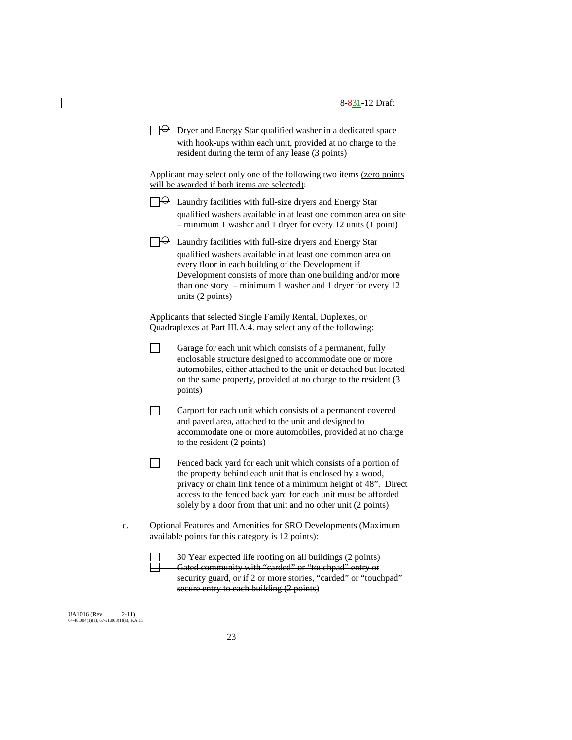| $\Box \Theta$ Dryer and Energy Star qualified washer in a dedicated space |
|---------------------------------------------------------------------------|
| with hook-ups within each unit, provided at no charge to the              |
| resident during the term of any lease (3 points)                          |

Applicant may select only one of the following two items (zero points will be awarded if both items are selected):

- $\Box \leftrightarrow$  Laundry facilities with full-size dryers and Energy Star qualified washers available in at least one common area on site – minimum 1 washer and 1 dryer for every 12 units (1 point)
- $\Box \Theta$  Laundry facilities with full-size dryers and Energy Star qualified washers available in at least one common area on every floor in each building of the Development if Development consists of more than one building and/or more than one story – minimum 1 washer and 1 dryer for every 12 units (2 points)

Applicants that selected Single Family Rental, Duplexes, or Quadraplexes at Part III.A.4. may select any of the following:

- $\Box$ Garage for each unit which consists of a permanent, fully enclosable structure designed to accommodate one or more automobiles, either attached to the unit or detached but located on the same property, provided at no charge to the resident (3 points)
- $\Box$ Carport for each unit which consists of a permanent covered and paved area, attached to the unit and designed to accommodate one or more automobiles, provided at no charge to the resident (2 points)
- $\Box$ Fenced back yard for each unit which consists of a portion of the property behind each unit that is enclosed by a wood, privacy or chain link fence of a minimum height of 48". Direct access to the fenced back yard for each unit must be afforded solely by a door from that unit and no other unit (2 points)
- c. Optional Features and Amenities for SRO Developments (Maximum available points for this category is 12 points):

30 Year expected life roofing on all buildings (2 points) Gated community with "carded" or "touchpad" entry or security guard, or if 2 or more stories, "carded" or "touchpad" secure entry to each building (2 points)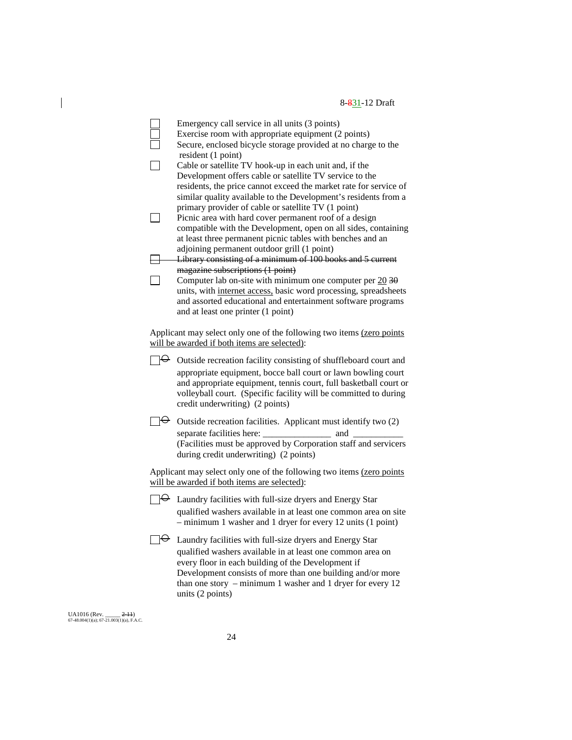Emergency call service in all units (3 points) Exercise room with appropriate equipment (2 points) Secure, enclosed bicycle storage provided at no charge to the resident (1 point)  $\Box$ Cable or satellite TV hook-up in each unit and, if the Development offers cable or satellite TV service to the residents, the price cannot exceed the market rate for service of similar quality available to the Development's residents from a primary provider of cable or satellite TV (1 point)  $\Box$ Picnic area with hard cover permanent roof of a design compatible with the Development, open on all sides, containing at least three permanent picnic tables with benches and an adjoining permanent outdoor grill (1 point) Library consisting of a minimum of 100 books and 5 current magazine subscriptions (1 point)  $\Box$ Computer lab on-site with minimum one computer per  $20\overline{30}$ units, with internet access, basic word processing, spreadsheets and assorted educational and entertainment software programs and at least one printer (1 point) Applicant may select only one of the following two items (zero points will be awarded if both items are selected):  $\Box \Theta$  Outside recreation facility consisting of shuffleboard court and appropriate equipment, bocce ball court or lawn bowling court and appropriate equipment, tennis court, full basketball court or volleyball court. (Specific facility will be committed to during credit underwriting) (2 points)  $\Box \Theta$  Outside recreation facilities. Applicant must identify two (2) separate facilities here: \_\_\_\_\_\_\_\_\_\_\_\_\_\_\_ and \_\_\_\_\_\_\_\_\_\_\_ (Facilities must be approved by Corporation staff and servicers during credit underwriting) (2 points) Applicant may select only one of the following two items (zero points will be awarded if both items are selected):  $\Box \Theta$  Laundry facilities with full-size dryers and Energy Star qualified washers available in at least one common area on site – minimum 1 washer and 1 dryer for every 12 units (1 point)  $\Box \Theta$  Laundry facilities with full-size dryers and Energy Star qualified washers available in at least one common area on every floor in each building of the Development if Development consists of more than one building and/or more than one story – minimum 1 washer and 1 dryer for every 12 units (2 points)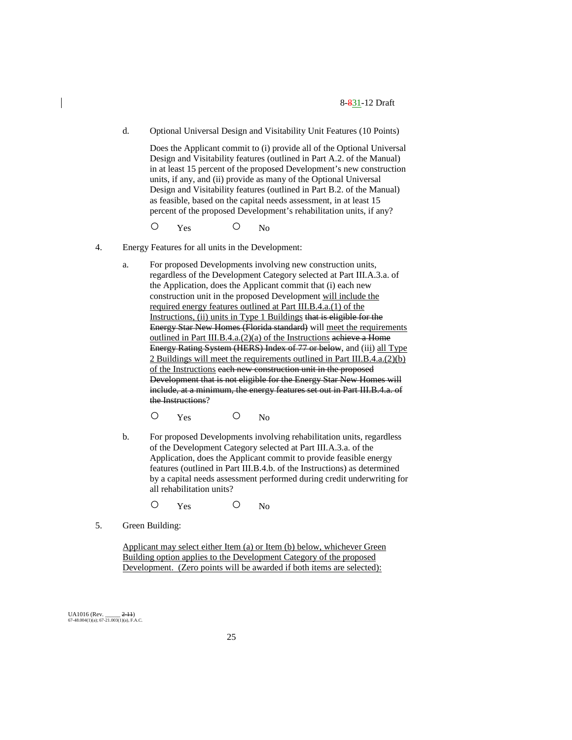d. Optional Universal Design and Visitability Unit Features (10 Points)

Does the Applicant commit to (i) provide all of the Optional Universal Design and Visitability features (outlined in Part A.2. of the Manual) in at least 15 percent of the proposed Development's new construction units, if any, and (ii) provide as many of the Optional Universal Design and Visitability features (outlined in Part B.2. of the Manual) as feasible, based on the capital needs assessment, in at least 15 percent of the proposed Development's rehabilitation units, if any?

O Yes O No

- 4. Energy Features for all units in the Development:
	- a. For proposed Developments involving new construction units, regardless of the Development Category selected at Part III.A.3.a. of the Application, does the Applicant commit that (i) each new construction unit in the proposed Development will include the required energy features outlined at Part III.B.4.a.(1) of the Instructions, (ii) units in Type 1 Buildings that is eligible for the Energy Star New Homes (Florida standard) will meet the requirements outlined in Part III.B.4.a.(2)(a) of the Instructions achieve a Home Energy Rating System (HERS) Index of 77 or below, and (iii) all Type 2 Buildings will meet the requirements outlined in Part III.B.4.a.(2)(b) of the Instructions each new construction unit in the proposed Development that is not eligible for the Energy Star New Homes will include, at a minimum, the energy features set out in Part III.B.4.a. of the Instructions?
		- O Yes O No
	- b. For proposed Developments involving rehabilitation units, regardless of the Development Category selected at Part III.A.3.a. of the Application, does the Applicant commit to provide feasible energy features (outlined in Part III.B.4.b. of the Instructions) as determined by a capital needs assessment performed during credit underwriting for all rehabilitation units?
		- O Yes O No
- 5. Green Building:

Applicant may select either Item (a) or Item (b) below, whichever Green Building option applies to the Development Category of the proposed Development. (Zero points will be awarded if both items are selected):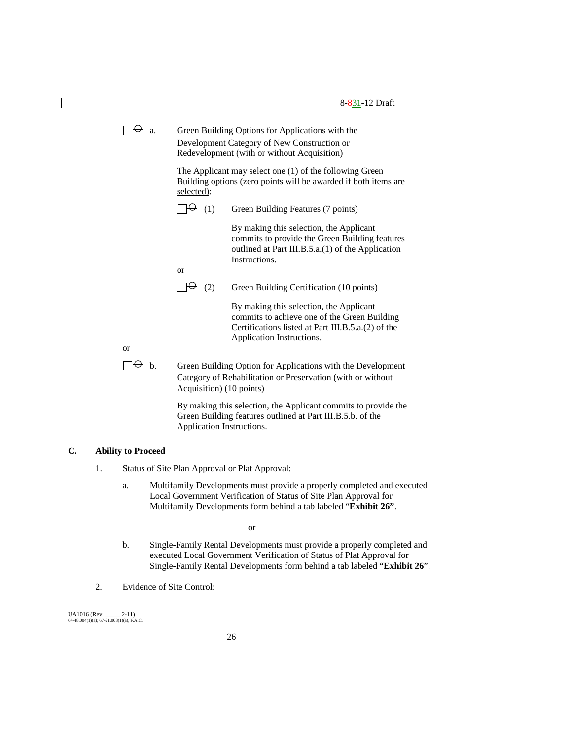$\Box \Theta$  a. Green Building Options for Applications with the Development Category of New Construction or Redevelopment (with or without Acquisition)

> The Applicant may select one (1) of the following Green Building options (zero points will be awarded if both items are selected):

 $\Box \Theta$  (1) Green Building Features (7 points)

By making this selection, the Applicant commits to provide the Green Building features outlined at Part III.B.5.a.(1) of the Application Instructions.

or

 $\Box \Theta$  (2) Green Building Certification (10 points)

By making this selection, the Applicant commits to achieve one of the Green Building Certifications listed at Part III.B.5.a.(2) of the Application Instructions.

or

 $\Box \Theta$  b. Green Building Option for Applications with the Development Category of Rehabilitation or Preservation (with or without Acquisition) (10 points)

> By making this selection, the Applicant commits to provide the Green Building features outlined at Part III.B.5.b. of the Application Instructions.

#### **C. Ability to Proceed**

- 1. Status of Site Plan Approval or Plat Approval:
	- a. Multifamily Developments must provide a properly completed and executed Local Government Verification of Status of Site Plan Approval for Multifamily Developments form behind a tab labeled "**Exhibit 26"**.

or

- b. Single-Family Rental Developments must provide a properly completed and executed Local Government Verification of Status of Plat Approval for Single-Family Rental Developments form behind a tab labeled "**Exhibit 26**".
- 2. Evidence of Site Control: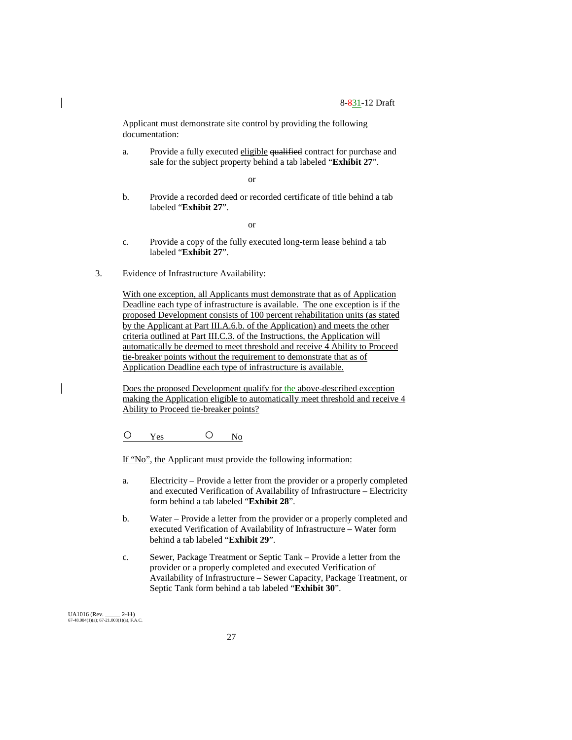Applicant must demonstrate site control by providing the following documentation:

a. Provide a fully executed eligible qualified contract for purchase and sale for the subject property behind a tab labeled "**Exhibit 27**".

or

b. Provide a recorded deed or recorded certificate of title behind a tab labeled "**Exhibit 27**".

or

- c. Provide a copy of the fully executed long-term lease behind a tab labeled "**Exhibit 27**".
- 3. Evidence of Infrastructure Availability:

With one exception, all Applicants must demonstrate that as of Application Deadline each type of infrastructure is available. The one exception is if the proposed Development consists of 100 percent rehabilitation units (as stated by the Applicant at Part III.A.6.b. of the Application) and meets the other criteria outlined at Part III.C.3. of the Instructions, the Application will automatically be deemed to meet threshold and receive 4 Ability to Proceed tie-breaker points without the requirement to demonstrate that as of Application Deadline each type of infrastructure is available.

Does the proposed Development qualify for the above-described exception making the Application eligible to automatically meet threshold and receive 4 Ability to Proceed tie-breaker points?

O Yes O No

If "No", the Applicant must provide the following information:

- a. Electricity Provide a letter from the provider or a properly completed and executed Verification of Availability of Infrastructure – Electricity form behind a tab labeled "**Exhibit 28**".
- b. Water Provide a letter from the provider or a properly completed and executed Verification of Availability of Infrastructure – Water form behind a tab labeled "**Exhibit 29**".
- c. Sewer, Package Treatment or Septic Tank Provide a letter from the provider or a properly completed and executed Verification of Availability of Infrastructure – Sewer Capacity, Package Treatment, or Septic Tank form behind a tab labeled "**Exhibit 30**".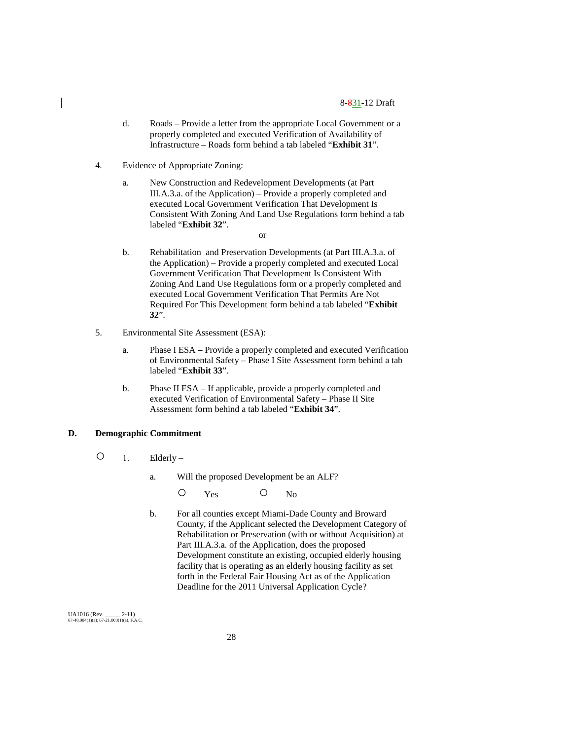- d. Roads Provide a letter from the appropriate Local Government or a properly completed and executed Verification of Availability of Infrastructure – Roads form behind a tab labeled "**Exhibit 31**".
- 4. Evidence of Appropriate Zoning:
	- a. New Construction and Redevelopment Developments (at Part III.A.3.a. of the Application) – Provide a properly completed and executed Local Government Verification That Development Is Consistent With Zoning And Land Use Regulations form behind a tab labeled "**Exhibit 32**".
		- or
	- b. Rehabilitation and Preservation Developments (at Part III.A.3.a. of the Application) – Provide a properly completed and executed Local Government Verification That Development Is Consistent With Zoning And Land Use Regulations form or a properly completed and executed Local Government Verification That Permits Are Not Required For This Development form behind a tab labeled "**Exhibit 32**".
- 5. Environmental Site Assessment (ESA):
	- a. Phase I ESA **–** Provide a properly completed and executed Verification of Environmental Safety – Phase I Site Assessment form behind a tab labeled "**Exhibit 33**".
	- b. Phase II ESA If applicable, provide a properly completed and executed Verification of Environmental Safety – Phase II Site Assessment form behind a tab labeled "**Exhibit 34**".

#### **D. Demographic Commitment**

- 1. Elderly
	- a. Will the proposed Development be an ALF?

O Yes O No

b. For all counties except Miami-Dade County and Broward County, if the Applicant selected the Development Category of Rehabilitation or Preservation (with or without Acquisition) at Part III.A.3.a. of the Application, does the proposed Development constitute an existing, occupied elderly housing facility that is operating as an elderly housing facility as set forth in the Federal Fair Housing Act as of the Application Deadline for the 2011 Universal Application Cycle?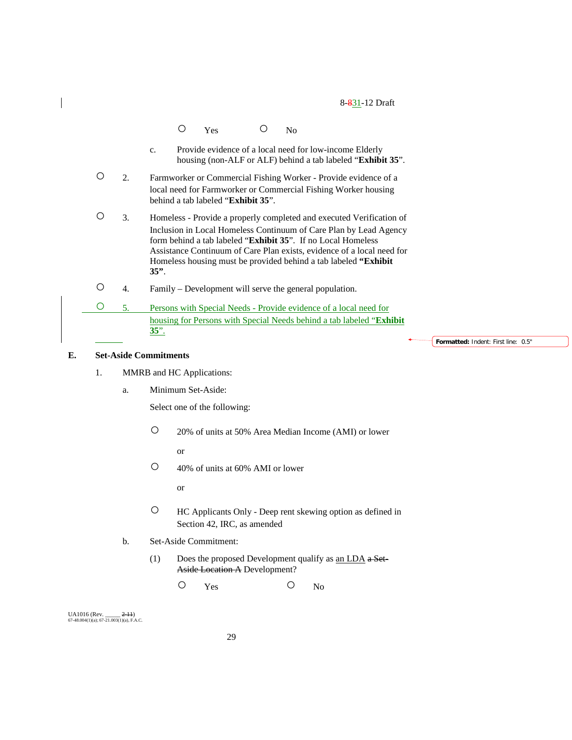|    | No<br>Yes                                                                                                                                                                                                                                                                                                                                                                   |
|----|-----------------------------------------------------------------------------------------------------------------------------------------------------------------------------------------------------------------------------------------------------------------------------------------------------------------------------------------------------------------------------|
|    | Provide evidence of a local need for low-income Elderly<br>$C_{\star}$<br>housing (non-ALF or ALF) behind a tab labeled "Exhibit 35".                                                                                                                                                                                                                                       |
| 2. | Farmworker or Commercial Fishing Worker - Provide evidence of a<br>local need for Farmworker or Commercial Fishing Worker housing<br>behind a tab labeled "Exhibit 35".                                                                                                                                                                                                     |
| 3. | Homeless - Provide a properly completed and executed Verification of<br>Inclusion in Local Homeless Continuum of Care Plan by Lead Agency<br>form behind a tab labeled " <b>Exhibit 35</b> ". If no Local Homeless<br>Assistance Continuum of Care Plan exists, evidence of a local need for<br>Homeless housing must be provided behind a tab labeled "Exhibit"<br>$35$ ". |
| 4. | Family – Development will serve the general population.                                                                                                                                                                                                                                                                                                                     |
| 5. | Persons with Special Needs - Provide evidence of a local need for                                                                                                                                                                                                                                                                                                           |
|    | housing for Persons with Special Needs behind a tab labeled "Exhibit<br><u>35".</u><br>Formatted: Indent: First line: 0.5"                                                                                                                                                                                                                                                  |

# **E. Set-Aside Commitments**

 $\overline{\phantom{a}}$ 

- 1. MMRB and HC Applications:
	- a. Minimum Set-Aside:

Select one of the following:

○ 20% of units at 50% Area Median Income (AMI) or lower

or

○ 40% of units at 60% AMI or lower

or

- HC Applicants Only Deep rent skewing option as defined in Section 42, IRC, as amended
- b. Set-Aside Commitment:
	- (1) Does the proposed Development qualify as an LDA a Set-Aside Location A Development?

O Yes O No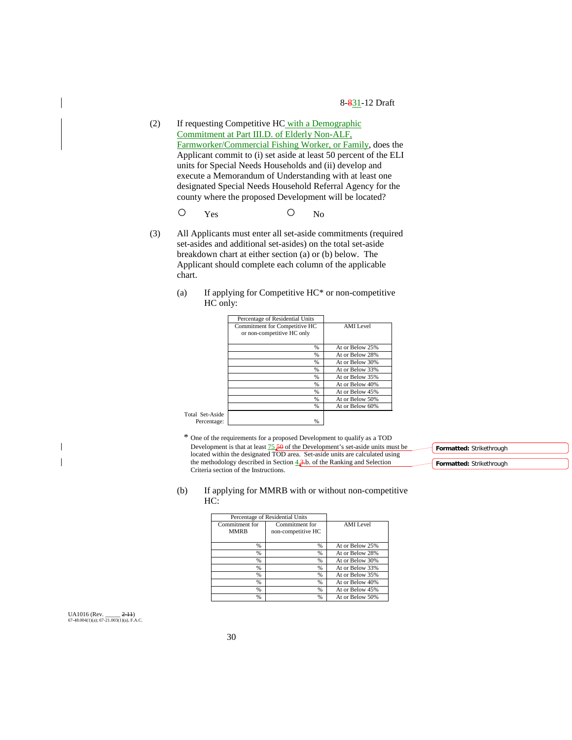- (2) If requesting Competitive HC with a Demographic Commitment at Part III.D. of Elderly Non-ALF, Farmworker/Commercial Fishing Worker, or Family, does the Applicant commit to (i) set aside at least 50 percent of the ELI units for Special Needs Households and (ii) develop and execute a Memorandum of Understanding with at least one designated Special Needs Household Referral Agency for the county where the proposed Development will be located?
	- O Yes O No
- (3) All Applicants must enter all set-aside commitments (required set-asides and additional set-asides) on the total set-aside breakdown chart at either section (a) or (b) below. The Applicant should complete each column of the applicable chart.
	- (a) If applying for Competitive HC\* or non-competitive HC only:

|                 | Percentage of Residential Units |                  |
|-----------------|---------------------------------|------------------|
|                 | Commitment for Competitive HC   | <b>AMI</b> Level |
|                 | or non-competitive HC only      |                  |
|                 |                                 |                  |
|                 | $\frac{9}{6}$                   | At or Below 25%  |
|                 | $\frac{9}{6}$                   | At or Below 28%  |
|                 | %                               | At or Below 30%  |
|                 | $\frac{9}{6}$                   | At or Below 33%  |
|                 | %                               | At or Below 35%  |
|                 | %                               | At or Below 40%  |
|                 | $\frac{0}{0}$                   | At or Below 45%  |
|                 | %                               | At or Below 50%  |
|                 | %                               | At or Below 60%  |
| Total Set-Aside |                                 |                  |
| Percentage:     | %                               |                  |

\* One of the requirements for a proposed Development to qualify as a TOD Development is that at least  $\frac{75}{6}$  of the Development's set-aside units must be located within the designated TOD area. Set-aside units are calculated using the methodology described in Section  $4.3$ b. of the Ranking and Selection Criteria section of the Instructions.

| Formatted: Strikethrough |  |
|--------------------------|--|
|                          |  |
| Formatted: Strikethrough |  |

#### (b) If applying for MMRB with or without non-competitive HC:

| Percentage of Residential Units |                    |                 |
|---------------------------------|--------------------|-----------------|
| Commitment for                  | Commitment for     | AMI Level       |
| <b>MMRB</b>                     | non-competitive HC |                 |
|                                 |                    |                 |
| %                               | %                  | At or Below 25% |
| %                               | %                  | At or Below 28% |
| %                               | %                  | At or Below 30% |
| %                               | %                  | At or Below 33% |
| %                               | %                  | At or Below 35% |
| %                               | %                  | At or Below 40% |
| %                               | %                  | At or Below 45% |
| %                               | %                  | At or Below 50% |

UA1016 (Rev. \_\_\_\_\_ 2-11) 67-48.004(1)(a); 67-21.003(1)(a), F.A.C.

 $\mathbf{I}$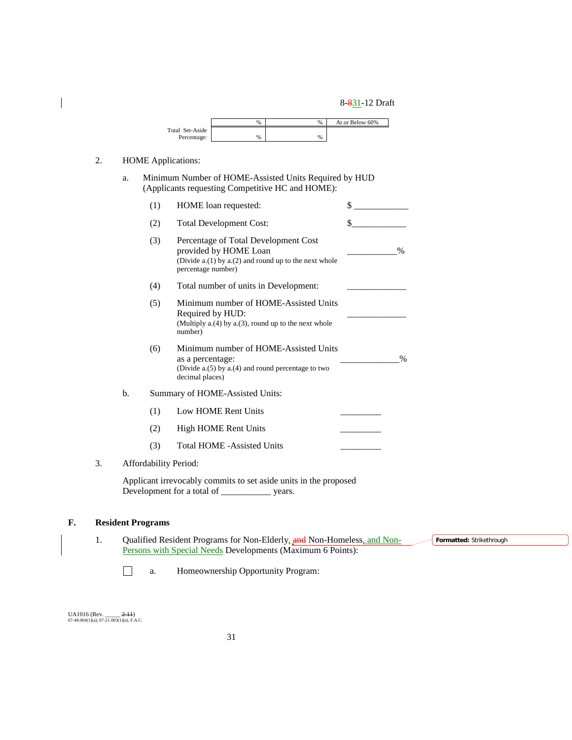|                 | $\%$ | $\%$ | At or Below 60% |
|-----------------|------|------|-----------------|
| Total Set-Aside |      |      |                 |
| Percentage:     | %    | %    |                 |

# 2. HOME Applications:

 $\overline{\phantom{a}}$ 

a. Minimum Number of HOME-Assisted Units Required by HUD (Applicants requesting Competitive HC and HOME):

|    | (1)                   | HOME loan requested:                                                                                                                         | \$            |
|----|-----------------------|----------------------------------------------------------------------------------------------------------------------------------------------|---------------|
|    | (2)                   | <b>Total Development Cost:</b>                                                                                                               | \$            |
|    | (3)                   | Percentage of Total Development Cost<br>provided by HOME Loan<br>(Divide a.(1) by a.(2) and round up to the next whole<br>percentage number) | $\frac{0}{0}$ |
|    | (4)                   | Total number of units in Development:                                                                                                        |               |
|    | (5)                   | Minimum number of HOME-Assisted Units<br>Required by HUD:<br>(Multiply $a(4)$ by $a(3)$ , round up to the next whole<br>number)              |               |
|    | (6)                   | Minimum number of HOME-Assisted Units<br>as a percentage:<br>(Divide $a(5)$ by $a(4)$ and round percentage to two<br>decimal places)         | $\frac{0}{0}$ |
| b. |                       | Summary of HOME-Assisted Units:                                                                                                              |               |
|    | (1)                   | Low HOME Rent Units                                                                                                                          |               |
|    | (2)                   | <b>High HOME Rent Units</b>                                                                                                                  |               |
|    | (3)                   | <b>Total HOME -Assisted Units</b>                                                                                                            |               |
|    | Affordability Period: |                                                                                                                                              |               |
|    |                       | Applicant irrevocably commits to set aside units in the proposed                                                                             |               |

# 3. Affo

Development for a total of \_\_\_\_\_\_\_\_\_\_\_ years.

# **F. Resident Programs**

1. Qualified Resident Programs for Non-Elderly, and Non-Homeless, and Non-Persons with Special Needs Developments (Maximum 6 Points): **Formatted:** Strikethrough

 $\Box$ a. Homeownership Opportunity Program: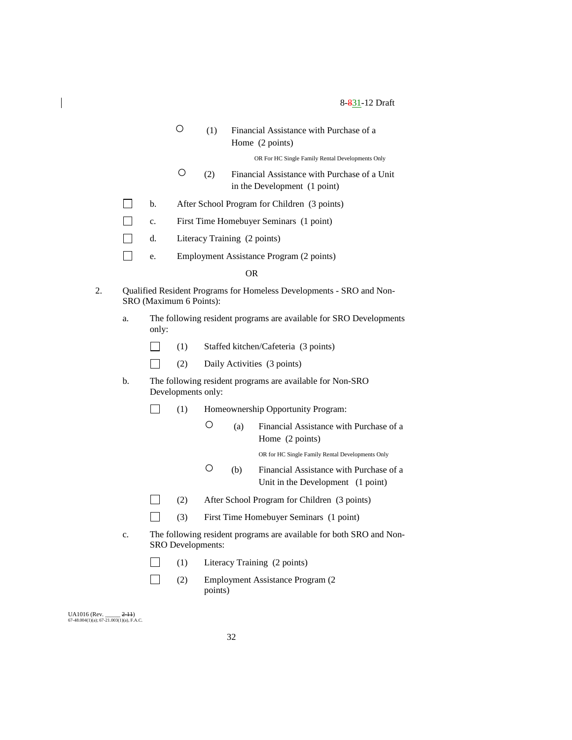| $\bigcirc$ | (1) Financial Assistance with Purchase of a |
|------------|---------------------------------------------|
|            | Home (2 points)                             |

OR For HC Single Family Rental Developments Only

- (2) Financial Assistance with Purchase of a Unit in the Development (1 point)
- $\Box$ b. After School Program for Children (3 points)
- $\Box$ c. First Time Homebuyer Seminars (1 point)
- $\Box$ d. Literacy Training (2 points)
- $\Box$ e. Employment Assistance Program (2 points)

OR

- 2. Qualified Resident Programs for Homeless Developments SRO and Non-SRO (Maximum 6 Points):
	- a. The following resident programs are available for SRO Developments only:
		- $\Box$ (1) Staffed kitchen/Cafeteria (3 points)
		- $\Box$ (2) Daily Activities (3 points)
	- b. The following resident programs are available for Non-SRO Developments only:
		- (1) Homeownership Opportunity Program:  $\perp$ 
			- (a) Financial Assistance with Purchase of a Home (2 points)

OR for HC Single Family Rental Developments Only

- (b) Financial Assistance with Purchase of a Unit in the Development (1 point)
- (2) After School Program for Children (3 points)  $\Box$
- $\Box$ (3) First Time Homebuyer Seminars (1 point)
- c. The following resident programs are available for both SRO and Non-SRO Developments:
	- $\Box$ (1) Literacy Training (2 points)
	- $\Box$ (2) Employment Assistance Program (2 points)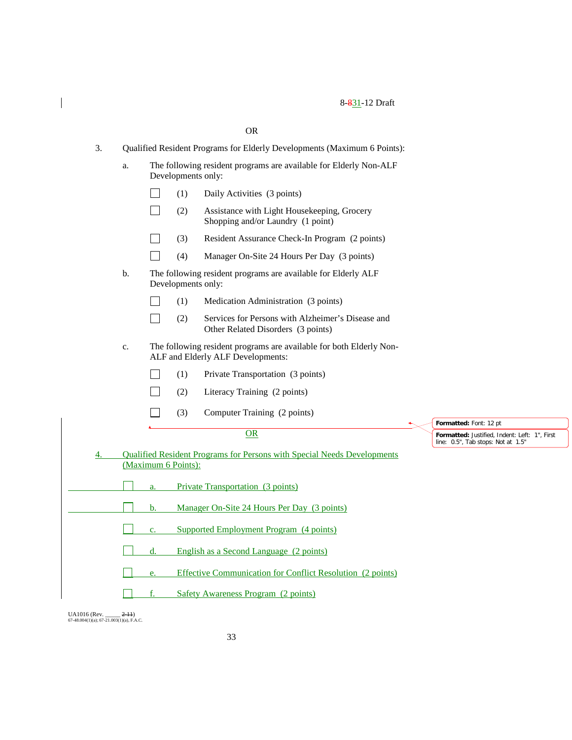|    |                                                                          |                                                                                         |                    | <b>OR</b>                                                                                                |  |                                                                                     |
|----|--------------------------------------------------------------------------|-----------------------------------------------------------------------------------------|--------------------|----------------------------------------------------------------------------------------------------------|--|-------------------------------------------------------------------------------------|
| 3. | Qualified Resident Programs for Elderly Developments (Maximum 6 Points): |                                                                                         |                    |                                                                                                          |  |                                                                                     |
|    | a.                                                                       | The following resident programs are available for Elderly Non-ALF<br>Developments only: |                    |                                                                                                          |  |                                                                                     |
|    |                                                                          |                                                                                         | (1)                | Daily Activities (3 points)                                                                              |  |                                                                                     |
|    |                                                                          |                                                                                         | (2)                | Assistance with Light Housekeeping, Grocery<br>Shopping and/or Laundry (1 point)                         |  |                                                                                     |
|    |                                                                          |                                                                                         | (3)                | Resident Assurance Check-In Program (2 points)                                                           |  |                                                                                     |
|    |                                                                          |                                                                                         | (4)                | Manager On-Site 24 Hours Per Day (3 points)                                                              |  |                                                                                     |
|    | b.                                                                       |                                                                                         | Developments only: | The following resident programs are available for Elderly ALF                                            |  |                                                                                     |
|    |                                                                          |                                                                                         | (1)                | Medication Administration (3 points)                                                                     |  |                                                                                     |
|    |                                                                          |                                                                                         | (2)                | Services for Persons with Alzheimer's Disease and<br>Other Related Disorders (3 points)                  |  |                                                                                     |
|    | c.                                                                       |                                                                                         |                    | The following resident programs are available for both Elderly Non-<br>ALF and Elderly ALF Developments: |  |                                                                                     |
|    |                                                                          |                                                                                         | (1)                | Private Transportation (3 points)                                                                        |  |                                                                                     |
|    |                                                                          |                                                                                         | (2)                | Literacy Training (2 points)                                                                             |  |                                                                                     |
|    |                                                                          |                                                                                         | (3)                | Computer Training (2 points)                                                                             |  |                                                                                     |
|    |                                                                          |                                                                                         |                    | <b>OR</b>                                                                                                |  | Formatted: Font: 12 pt                                                              |
|    |                                                                          |                                                                                         |                    |                                                                                                          |  | Formatted: Justified, Indent: Left: 1", First<br>line: 0.5", Tab stops: Not at 1.5" |
| 4. |                                                                          | (Maximum 6 Points):                                                                     |                    | Qualified Resident Programs for Persons with Special Needs Developments                                  |  |                                                                                     |
|    |                                                                          |                                                                                         |                    |                                                                                                          |  |                                                                                     |
|    |                                                                          | a.                                                                                      |                    | <b>Private Transportation</b> (3 points)                                                                 |  |                                                                                     |
|    | Manager On-Site 24 Hours Per Day (3 points)<br>b.                        |                                                                                         |                    |                                                                                                          |  |                                                                                     |
|    |                                                                          | c.                                                                                      |                    | <b>Supported Employment Program (4 points)</b>                                                           |  |                                                                                     |
|    |                                                                          | d.                                                                                      |                    | English as a Second Language (2 points)                                                                  |  |                                                                                     |
|    | Effective Communication for Conflict Resolution (2 points)<br>e.         |                                                                                         |                    |                                                                                                          |  |                                                                                     |
|    |                                                                          | f.                                                                                      |                    | <b>Safety Awareness Program (2 points)</b>                                                               |  |                                                                                     |

UA1016 (Rev. \_\_\_\_\_ <del>2-11</del>)<br>67-48.004(1)(a); 67-21.003(1)(a), F.A.C.

 $\begin{array}{c} \hline \end{array}$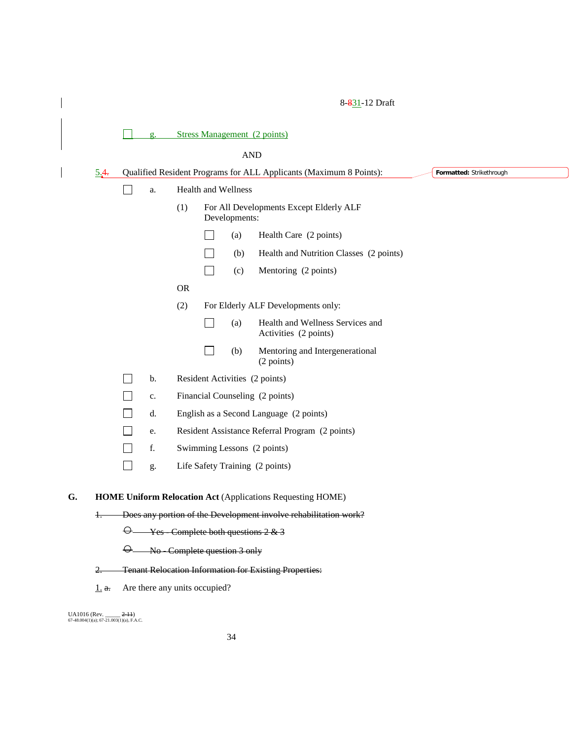| 5.4.  |                                                                   |                |           |                |                            | Qualified Resident Programs for ALL Applicants (Maximum 8 Points): | Formatted: Strikethrough |  |
|-------|-------------------------------------------------------------------|----------------|-----------|----------------|----------------------------|--------------------------------------------------------------------|--------------------------|--|
|       | $\mathcal{L}$                                                     | a.             |           |                | <b>Health and Wellness</b> |                                                                    |                          |  |
|       |                                                                   |                | (1)       |                | Developments:              | For All Developments Except Elderly ALF                            |                          |  |
|       |                                                                   |                |           |                | (a)                        | Health Care (2 points)                                             |                          |  |
|       |                                                                   |                |           |                | (b)                        | Health and Nutrition Classes (2 points)                            |                          |  |
|       |                                                                   |                |           | $\blacksquare$ | (c)                        | Mentoring (2 points)                                               |                          |  |
|       |                                                                   |                | <b>OR</b> |                |                            |                                                                    |                          |  |
|       |                                                                   |                | (2)       |                |                            | For Elderly ALF Developments only:                                 |                          |  |
|       |                                                                   |                |           |                | (a)                        | Health and Wellness Services and<br>Activities (2 points)          |                          |  |
|       |                                                                   |                |           |                | (b)                        | Mentoring and Intergenerational<br>(2 points)                      |                          |  |
|       |                                                                   | b.             |           |                |                            | Resident Activities (2 points)                                     |                          |  |
|       |                                                                   | $\mathbf{c}$ . |           |                |                            | Financial Counseling (2 points)                                    |                          |  |
|       | $\sim$                                                            | d.             |           |                |                            | English as a Second Language (2 points)                            |                          |  |
|       |                                                                   | e.             |           |                |                            | Resident Assistance Referral Program (2 points)                    |                          |  |
|       |                                                                   | f.             |           |                |                            | Swimming Lessons (2 points)                                        |                          |  |
|       |                                                                   | g.             |           |                |                            | Life Safety Training (2 points)                                    |                          |  |
|       | <b>HOME Uniform Relocation Act (Applications Requesting HOME)</b> |                |           |                |                            |                                                                    |                          |  |
| $\pm$ | Does any portion of the Development involve rehabilitation work?  |                |           |                |                            |                                                                    |                          |  |

- 2. Tenant Relocation Information for Existing Properties:
- $1.$  a. Are there any units occupied?

UA1016 (Rev. \_\_\_\_\_ <del>2-11</del>)<br>67-48.004(1)(a); 67-21.003(1)(a), F.A.C.

 $\overline{\phantom{a}}$ 

 $\overline{\phantom{a}}$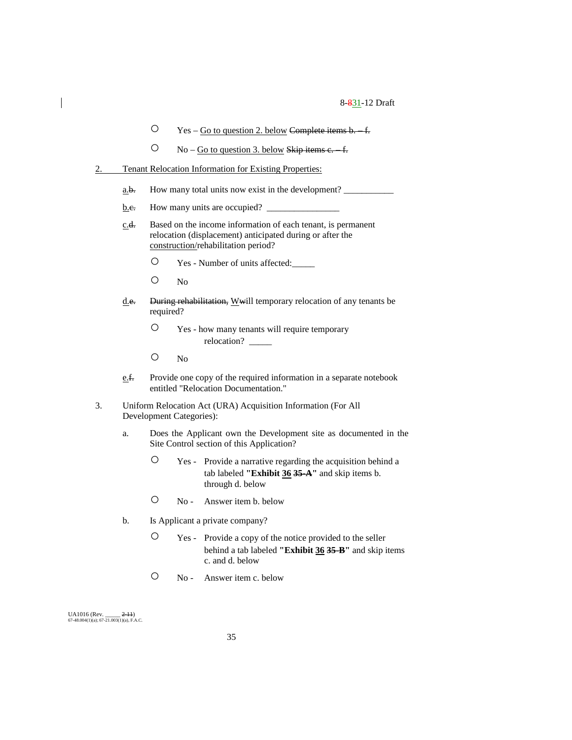- Yes Go to question 2. below Complete items b. f.
- $\degree$  No Go to question 3. below Skip items c. f.
- 2. Tenant Relocation Information for Existing Properties:
	- $\underline{\mathbf{a}}.\underline{\mathbf{b}}.$  How many total units now exist in the development?
	- $\underline{b.e.}$  How many units are occupied?  $\Box$
	- c.d. Based on the income information of each tenant, is permanent relocation (displacement) anticipated during or after the construction/rehabilitation period?
		- Yes Number of units affected:\_\_\_\_\_
		- No
	- d.e. During rehabilitation, Wwill temporary relocation of any tenants be required?
		- Yes how many tenants will require temporary relocation?
		- No
	- e.f. Provide one copy of the required information in a separate notebook entitled "Relocation Documentation."
- 3. Uniform Relocation Act (URA) Acquisition Information (For All Development Categories):
	- a. Does the Applicant own the Development site as documented in the Site Control section of this Application?
		- Yes Provide a narrative regarding the acquisition behind a tab labeled **"Exhibit 36 35-A"** and skip items b. through d. below
		- No Answer item b. below
	- b. Is Applicant a private company?
		- Yes Provide a copy of the notice provided to the seller behind a tab labeled **"Exhibit 36 35-B"** and skip items c. and d. below
		- No Answer item c. below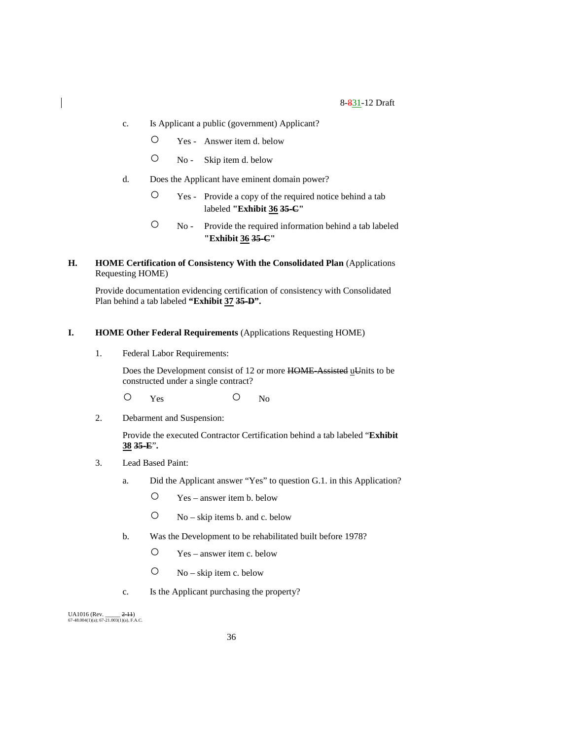- c. Is Applicant a public (government) Applicant?
	- Yes Answer item d. below
	- No Skip item d. below
- d. Does the Applicant have eminent domain power?
	- Yes Provide a copy of the required notice behind a tab labeled **"Exhibit 36 35-C"**
	- No Provide the required information behind a tab labeled **"Exhibit 36 35-C"**
- **H. HOME Certification of Consistency With the Consolidated Plan** (Applications Requesting HOME)

Provide documentation evidencing certification of consistency with Consolidated Plan behind a tab labeled **"Exhibit 37 35-D".**

#### **I. HOME Other Federal Requirements** (Applications Requesting HOME)

1. Federal Labor Requirements:

Does the Development consist of 12 or more HOME-Assisted uUnits to be constructed under a single contract?

O Yes O No

2. Debarment and Suspension:

Provide the executed Contractor Certification behind a tab labeled "**Exhibit 38 35-E**"**.**

- 3. Lead Based Paint:
	- a. Did the Applicant answer "Yes" to question G.1. in this Application?
		- Yes answer item b. below
		- $O$  No skip items b. and c. below
	- b. Was the Development to be rehabilitated built before 1978?
		- Yes answer item c. below
		- No skip item c. below
	- c. Is the Applicant purchasing the property?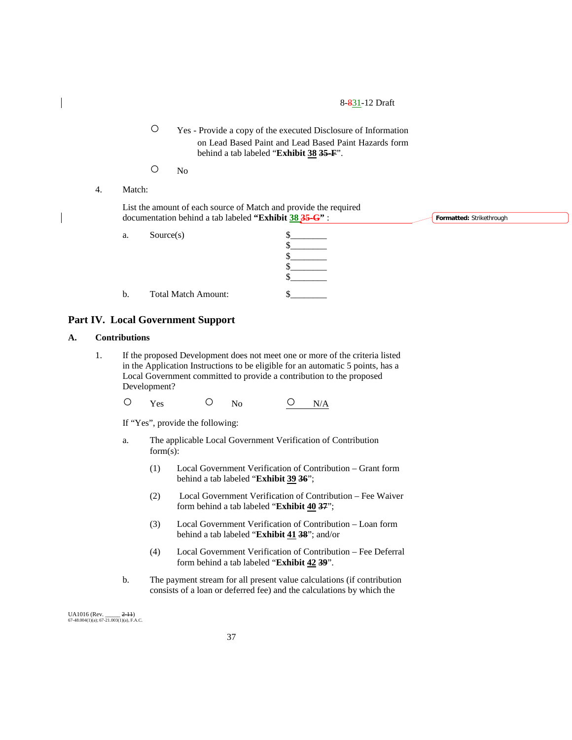○ Yes - Provide a copy of the executed Disclosure of Information on Lead Based Paint and Lead Based Paint Hazards form behind a tab labeled "**Exhibit 38 35-F**".

- No
- 4. Match:

| List the amount of each source of Match and provide the required |                                 |
|------------------------------------------------------------------|---------------------------------|
| documentation behind a tab labeled "Exhibit 38 $35 - G$ ":       | <b>Formatted:</b> Strikethrough |
|                                                                  |                                 |

 $\frac{\S_{\_}}{\S_{\_}}$  $\frac{1}{2}$  $\frac{1}{2}$  $\frac{\S_{\_}}{\S_{\_}}$ 

- a. Source(s)
- b. Total Match Amount: \$\_\_\_\_\_\_\_\_

# **Part IV. Local Government Support**

#### **A. Contributions**

1. If the proposed Development does not meet one or more of the criteria listed in the Application Instructions to be eligible for an automatic 5 points, has a Local Government committed to provide a contribution to the proposed Development?

O Yes O No <u>O N/A</u>

If "Yes", provide the following:

- a. The applicable Local Government Verification of Contribution form(s):
	- (1) Local Government Verification of Contribution Grant form behind a tab labeled "**Exhibit 39 36**";
	- (2) Local Government Verification of Contribution Fee Waiver form behind a tab labeled "**Exhibit 40 37**";
	- (3) Local Government Verification of Contribution Loan form behind a tab labeled "**Exhibit 41 38**"; and/or
	- (4) Local Government Verification of Contribution Fee Deferral form behind a tab labeled "**Exhibit 42 39**".
- b. The payment stream for all present value calculations (if contribution consists of a loan or deferred fee) and the calculations by which the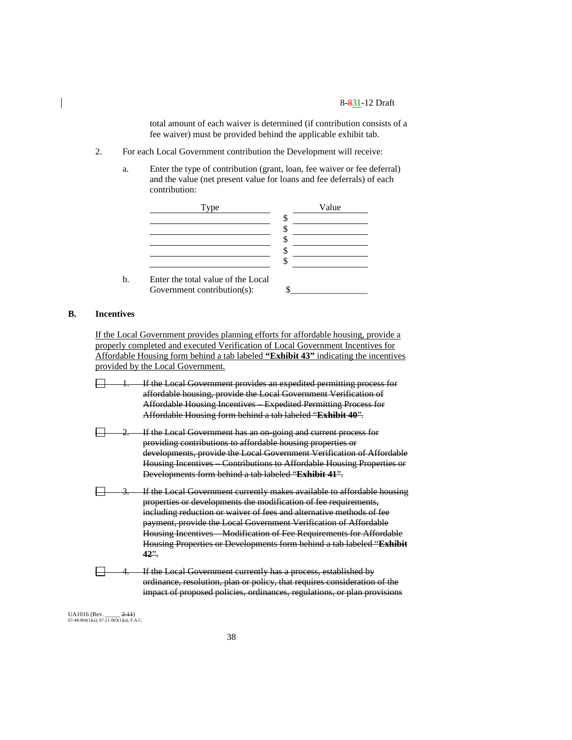total amount of each waiver is determined (if contribution consists of a fee waiver) must be provided behind the applicable exhibit tab.

- 2. For each Local Government contribution the Development will receive:
	- a. Enter the type of contribution (grant, loan, fee waiver or fee deferral) and the value (net present value for loans and fee deferrals) of each contribution:



# **B. Incentives**

If the Local Government provides planning efforts for affordable housing, provide a properly completed and executed Verification of Local Government Incentives for Affordable Housing form behind a tab labeled **"Exhibit 43"** indicating the incentives provided by the Local Government.

- If the Local Government provides an expedited permitting process for affordable housing, provide the Local Government Verification of Affordable Housing Incentives – Expedited Permitting Process for Affordable Housing form behind a tab labeled "**Exhibit 40**".
- If the Local Government has an on-going and current process for providing contributions to affordable housing properties or developments, provide the Local Government Verification of Affordable Housing Incentives – Contributions to Affordable Housing Properties or Developments form behind a tab labeled "**Exhibit 41**".
- If the Local Government currently makes available to affordable housing properties or developments the modification of fee requirements, including reduction or waiver of fees and alternative methods of fee payment, provide the Local Government Verification of Affordable Housing Incentives – Modification of Fee Requirements for Affordable Housing Properties or Developments form behind a tab labeled "**Exhibit 42**".
- 戸 If the Local Government currently has a process, established by ordinance, resolution, plan or policy, that requires consideration of the impact of proposed policies, ordinances, regulations, or plan provisions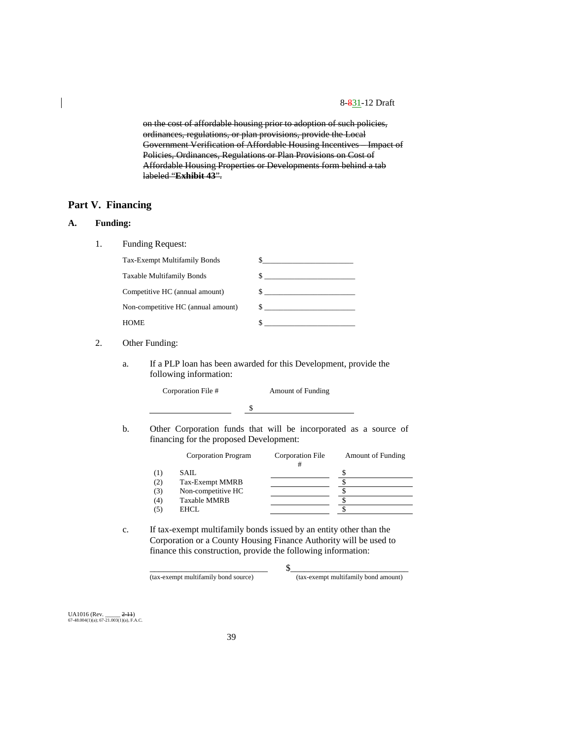on the cost of affordable housing prior to adoption of such policies, ordinances, regulations, or plan provisions, provide the Local Government Verification of Affordable Housing Incentives – Impact of Policies, Ordinances, Regulations or Plan Provisions on Cost of Affordable Housing Properties or Developments form behind a tab labeled "**Exhibit 43**".

# **Part V. Financing**

# **A. Funding:**

1. Funding Request:

| Tax-Exempt Multifamily Bonds       |              |
|------------------------------------|--------------|
| Taxable Multifamily Bonds          |              |
| Competitive HC (annual amount)     | $\mathbb{S}$ |
| Non-competitive HC (annual amount) | $\mathbb{S}$ |
| <b>HOME</b>                        |              |

# 2. Other Funding:

a. If a PLP loan has been awarded for this Development, provide the following information:

| Corporation File # | <b>Amount of Funding</b> |  |  |
|--------------------|--------------------------|--|--|
|                    |                          |  |  |

b. Other Corporation funds that will be incorporated as a source of financing for the proposed Development:

|     | Corporation Program | Corporation File | <b>Amount of Funding</b> |
|-----|---------------------|------------------|--------------------------|
|     | SAIL.               |                  |                          |
| (2) | Tax-Exempt MMRB     |                  |                          |
| (3) | Non-competitive HC  |                  |                          |
| (4) | <b>Taxable MMRB</b> |                  |                          |
|     | EHCL                |                  |                          |
|     |                     |                  |                          |

\_\_\_\_\_\_\_\_\_\_\_\_\_\_\_\_\_\_\_\_\_\_\_\_\_\_ \$\_\_\_\_\_\_\_\_\_\_\_\_\_\_\_\_\_\_\_\_\_\_\_\_\_\_

c. If tax-exempt multifamily bonds issued by an entity other than the Corporation or a County Housing Finance Authority will be used to finance this construction, provide the following information:

(tax-exempt multifamily bond source) (tax-exempt multifamily bond amount)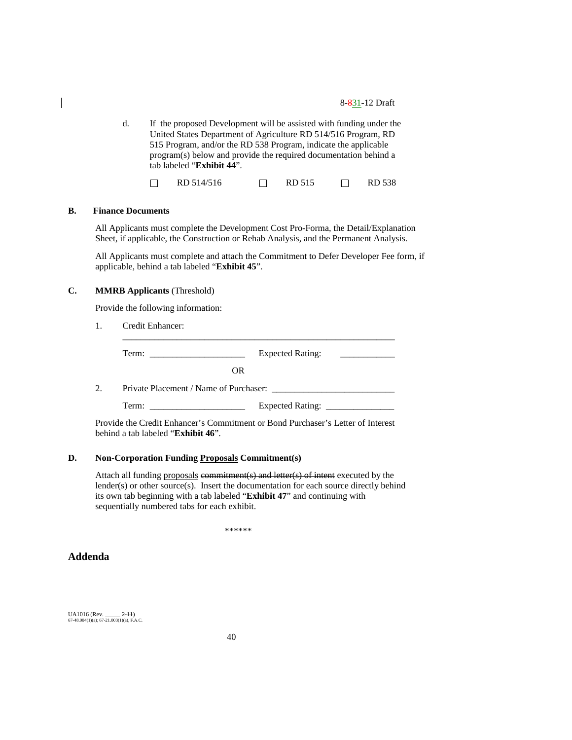d. If the proposed Development will be assisted with funding under the United States Department of Agriculture RD 514/516 Program, RD 515 Program, and/or the RD 538 Program, indicate the applicable program(s) below and provide the required documentation behind a tab labeled "**Exhibit 44**".

RD 514/516 □ RD 515 □ RD 538  $\Box$ 

## **B. Finance Documents**

All Applicants must complete the Development Cost Pro-Forma, the Detail/Explanation Sheet, if applicable, the Construction or Rehab Analysis, and the Permanent Analysis.

All Applicants must complete and attach the Commitment to Defer Developer Fee form, if applicable, behind a tab labeled "**Exhibit 45**".

## **C. MMRB Applicants** (Threshold)

Provide the following information:

1. Credit Enhancer:

Term: \_\_\_\_\_\_\_\_\_\_\_\_\_\_\_\_\_\_\_\_\_ Expected Rating: \_\_\_\_\_\_\_\_\_\_\_\_ OR 2. Private Placement / Name of Purchaser: \_\_\_\_\_\_\_\_\_\_\_\_\_\_\_\_\_\_\_\_\_\_\_\_\_\_\_ Term: \_\_\_\_\_\_\_\_\_\_\_\_\_\_\_\_\_\_\_\_\_ Expected Rating: \_\_\_\_\_\_\_\_\_\_\_\_\_\_\_

\_\_\_\_\_\_\_\_\_\_\_\_\_\_\_\_\_\_\_\_\_\_\_\_\_\_\_\_\_\_\_\_\_\_\_\_\_\_\_\_\_\_\_\_\_\_\_\_\_\_\_\_\_\_\_\_\_\_\_\_

Provide the Credit Enhancer's Commitment or Bond Purchaser's Letter of Interest behind a tab labeled "**Exhibit 46**".

#### **D. Non-Corporation Funding Proposals Commitment(s)**

Attach all funding proposals commitment(s) and letter(s) of intent executed by the lender(s) or other source(s). Insert the documentation for each source directly behind its own tab beginning with a tab labeled "**Exhibit 47**" and continuing with sequentially numbered tabs for each exhibit.

\*\*\*\*\*\*

**Addenda**